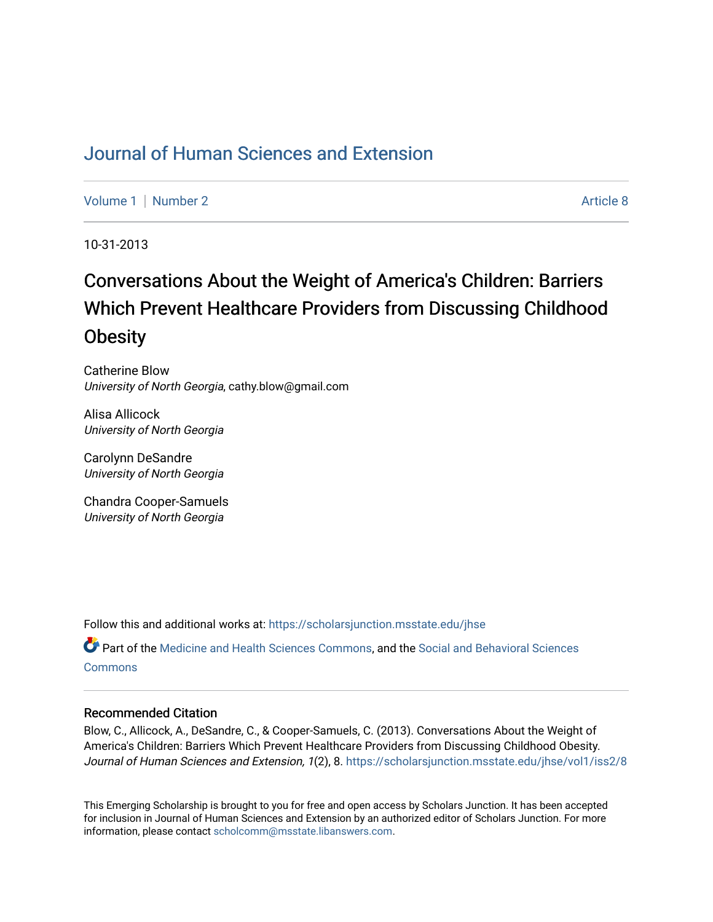## [Journal of Human Sciences and Extension](https://scholarsjunction.msstate.edu/jhse)

[Volume 1](https://scholarsjunction.msstate.edu/jhse/vol1) | [Number 2](https://scholarsjunction.msstate.edu/jhse/vol1/iss2) Article 8

10-31-2013

# Conversations About the Weight of America's Children: Barriers Which Prevent Healthcare Providers from Discussing Childhood **Obesity**

Catherine Blow University of North Georgia, cathy.blow@gmail.com

Alisa Allicock University of North Georgia

Carolynn DeSandre University of North Georgia

Chandra Cooper-Samuels University of North Georgia

Follow this and additional works at: [https://scholarsjunction.msstate.edu/jhse](https://scholarsjunction.msstate.edu/jhse?utm_source=scholarsjunction.msstate.edu%2Fjhse%2Fvol1%2Fiss2%2F8&utm_medium=PDF&utm_campaign=PDFCoverPages)

Part of the [Medicine and Health Sciences Commons,](http://network.bepress.com/hgg/discipline/648?utm_source=scholarsjunction.msstate.edu%2Fjhse%2Fvol1%2Fiss2%2F8&utm_medium=PDF&utm_campaign=PDFCoverPages) and the [Social and Behavioral Sciences](http://network.bepress.com/hgg/discipline/316?utm_source=scholarsjunction.msstate.edu%2Fjhse%2Fvol1%2Fiss2%2F8&utm_medium=PDF&utm_campaign=PDFCoverPages) **[Commons](http://network.bepress.com/hgg/discipline/316?utm_source=scholarsjunction.msstate.edu%2Fjhse%2Fvol1%2Fiss2%2F8&utm_medium=PDF&utm_campaign=PDFCoverPages)** 

#### Recommended Citation

Blow, C., Allicock, A., DeSandre, C., & Cooper-Samuels, C. (2013). Conversations About the Weight of America's Children: Barriers Which Prevent Healthcare Providers from Discussing Childhood Obesity. Journal of Human Sciences and Extension, 1(2), 8. https://scholarsjunction.msstate.edu/jhse/vol1/iss2/8

This Emerging Scholarship is brought to you for free and open access by Scholars Junction. It has been accepted for inclusion in Journal of Human Sciences and Extension by an authorized editor of Scholars Junction. For more information, please contact [scholcomm@msstate.libanswers.com](mailto:scholcomm@msstate.libanswers.com).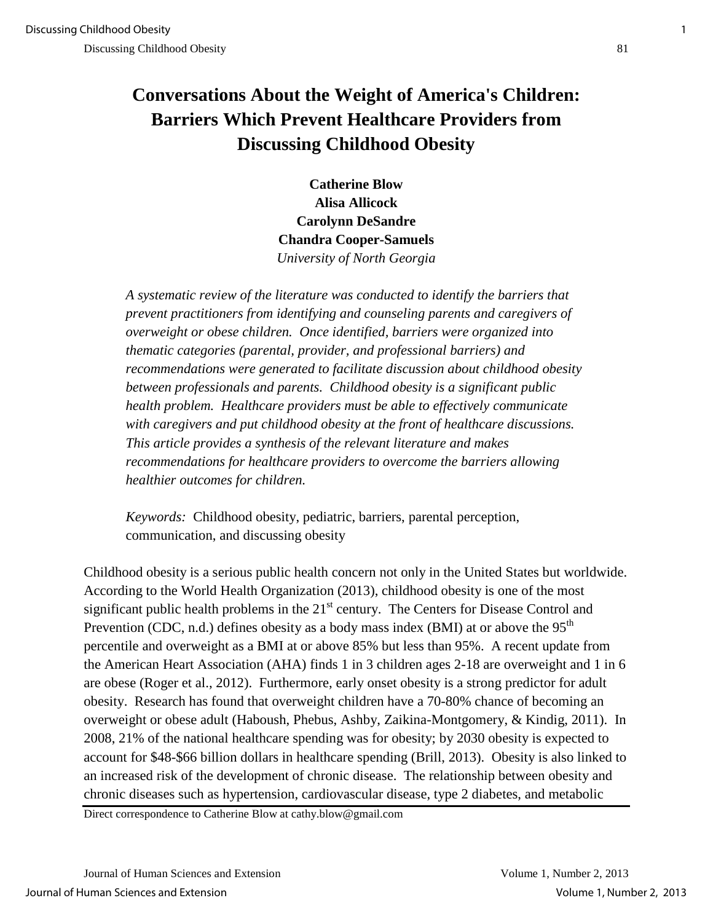## **Conversations About the Weight of America's Children: Barriers Which Prevent Healthcare Providers from Discussing Childhood Obesity**

**Catherine Blow Alisa Allicock Carolynn DeSandre Chandra Cooper-Samuels** *University of North Georgia* 

*A systematic review of the literature was conducted to identify the barriers that prevent practitioners from identifying and counseling parents and caregivers of overweight or obese children. Once identified, barriers were organized into thematic categories (parental, provider, and professional barriers) and recommendations were generated to facilitate discussion about childhood obesity between professionals and parents. Childhood obesity is a significant public health problem. Healthcare providers must be able to effectively communicate with caregivers and put childhood obesity at the front of healthcare discussions. This article provides a synthesis of the relevant literature and makes recommendations for healthcare providers to overcome the barriers allowing healthier outcomes for children.* 

*Keywords:*Childhood obesity, pediatric, barriers, parental perception, communication, and discussing obesity

Childhood obesity is a serious public health concern not only in the United States but worldwide. According to the World Health Organization (2013), childhood obesity is one of the most significant public health problems in the  $21<sup>st</sup>$  century. The Centers for Disease Control and Prevention (CDC, n.d.) defines obesity as a body mass index (BMI) at or above the  $95<sup>th</sup>$ percentile and overweight as a BMI at or above 85% but less than 95%. A recent update from the American Heart Association (AHA) finds 1 in 3 children ages 2-18 are overweight and 1 in 6 are obese (Roger et al., 2012). Furthermore, early onset obesity is a strong predictor for adult obesity. Research has found that overweight children have a 70-80% chance of becoming an overweight or obese adult (Haboush, Phebus, Ashby, Zaikina-Montgomery, & Kindig, 2011). In 2008, 21% of the national healthcare spending was for obesity; by 2030 obesity is expected to account for \$48-\$66 billion dollars in healthcare spending (Brill, 2013). Obesity is also linked to an increased risk of the development of chronic disease. The relationship between obesity and chronic diseases such as hypertension, cardiovascular disease, type 2 diabetes, and metabolic

Direct correspondence to Catherine Blow at cathy.blow@gmail.com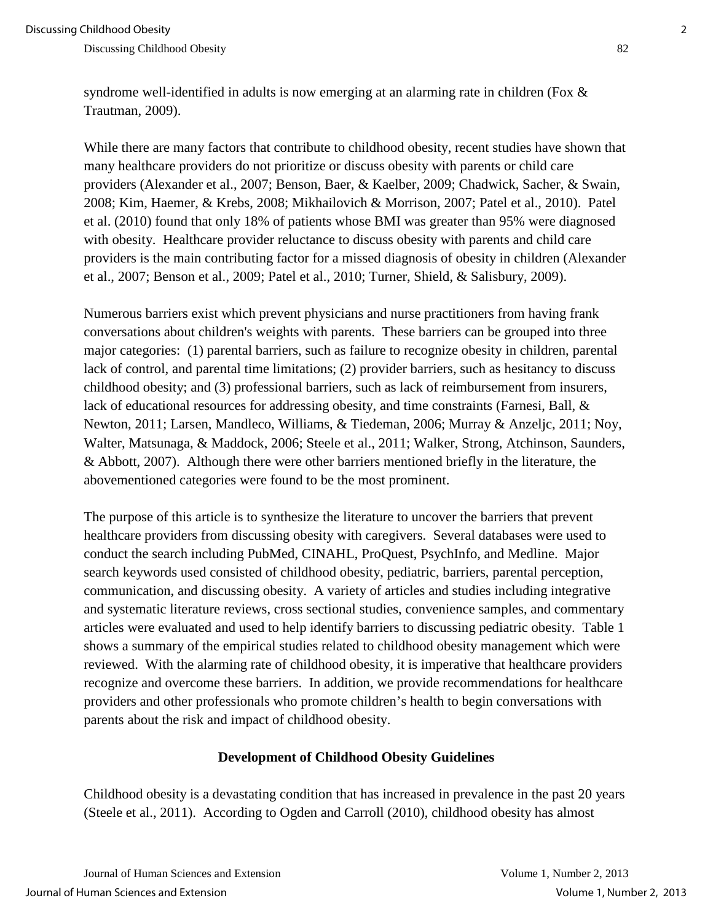syndrome well-identified in adults is now emerging at an alarming rate in children (Fox & Trautman, 2009).

While there are many factors that contribute to childhood obesity, recent studies have shown that many healthcare providers do not prioritize or discuss obesity with parents or child care providers (Alexander et al., 2007; Benson, Baer, & Kaelber, 2009; Chadwick, Sacher, & Swain, 2008; Kim, Haemer, & Krebs, 2008; Mikhailovich & Morrison, 2007; Patel et al., 2010). Patel et al. (2010) found that only 18% of patients whose BMI was greater than 95% were diagnosed with obesity. Healthcare provider reluctance to discuss obesity with parents and child care providers is the main contributing factor for a missed diagnosis of obesity in children (Alexander et al., 2007; Benson et al., 2009; Patel et al., 2010; Turner, Shield, & Salisbury, 2009).

Numerous barriers exist which prevent physicians and nurse practitioners from having frank conversations about children's weights with parents. These barriers can be grouped into three major categories: (1) parental barriers, such as failure to recognize obesity in children, parental lack of control, and parental time limitations; (2) provider barriers, such as hesitancy to discuss childhood obesity; and (3) professional barriers, such as lack of reimbursement from insurers, lack of educational resources for addressing obesity, and time constraints (Farnesi, Ball, & Newton, 2011; Larsen, Mandleco, Williams, & Tiedeman, 2006; Murray & Anzeljc, 2011; Noy, Walter, Matsunaga, & Maddock, 2006; Steele et al., 2011; Walker, Strong, Atchinson, Saunders, & Abbott, 2007). Although there were other barriers mentioned briefly in the literature, the abovementioned categories were found to be the most prominent.

The purpose of this article is to synthesize the literature to uncover the barriers that prevent healthcare providers from discussing obesity with caregivers. Several databases were used to conduct the search including PubMed, CINAHL, ProQuest, PsychInfo, and Medline. Major search keywords used consisted of childhood obesity, pediatric, barriers, parental perception, communication, and discussing obesity. A variety of articles and studies including integrative and systematic literature reviews, cross sectional studies, convenience samples, and commentary articles were evaluated and used to help identify barriers to discussing pediatric obesity. Table 1 shows a summary of the empirical studies related to childhood obesity management which were reviewed. With the alarming rate of childhood obesity, it is imperative that healthcare providers recognize and overcome these barriers. In addition, we provide recommendations for healthcare providers and other professionals who promote children's health to begin conversations with parents about the risk and impact of childhood obesity.

#### **Development of Childhood Obesity Guidelines**

Childhood obesity is a devastating condition that has increased in prevalence in the past 20 years (Steele et al., 2011). According to Ogden and Carroll (2010), childhood obesity has almost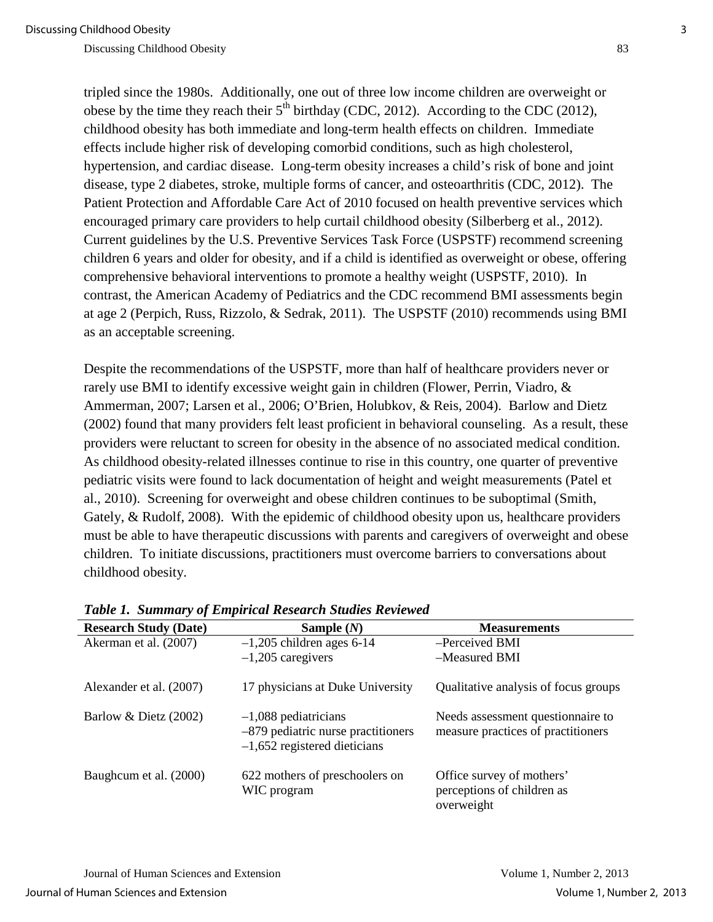tripled since the 1980s. Additionally, one out of three low income children are overweight or obese by the time they reach their  $5<sup>th</sup>$  birthday (CDC, 2012). According to the CDC (2012), childhood obesity has both immediate and long-term health effects on children. Immediate effects include higher risk of developing comorbid conditions, such as high cholesterol, hypertension, and cardiac disease. Long-term obesity increases a child's risk of bone and joint disease, type 2 diabetes, stroke, multiple forms of cancer, and osteoarthritis (CDC, 2012). The Patient Protection and Affordable Care Act of 2010 focused on health preventive services which encouraged primary care providers to help curtail childhood obesity (Silberberg et al., 2012). Current guidelines by the U.S. Preventive Services Task Force (USPSTF) recommend screening children 6 years and older for obesity, and if a child is identified as overweight or obese, offering comprehensive behavioral interventions to promote a healthy weight (USPSTF, 2010). In contrast, the American Academy of Pediatrics and the CDC recommend BMI assessments begin at age 2 (Perpich, Russ, Rizzolo, & Sedrak, 2011). The USPSTF (2010) recommends using BMI as an acceptable screening.

Despite the recommendations of the USPSTF, more than half of healthcare providers never or rarely use BMI to identify excessive weight gain in children (Flower, Perrin, Viadro, & Ammerman, 2007; Larsen et al., 2006; O'Brien, Holubkov, & Reis, 2004). Barlow and Dietz (2002) found that many providers felt least proficient in behavioral counseling. As a result, these providers were reluctant to screen for obesity in the absence of no associated medical condition. As childhood obesity-related illnesses continue to rise in this country, one quarter of preventive pediatric visits were found to lack documentation of height and weight measurements (Patel et al., 2010). Screening for overweight and obese children continues to be suboptimal (Smith, Gately, & Rudolf, 2008). With the epidemic of childhood obesity upon us, healthcare providers must be able to have therapeutic discussions with parents and caregivers of overweight and obese children. To initiate discussions, practitioners must overcome barriers to conversations about childhood obesity.

| <b>Research Study (Date)</b> | Sample $(N)$                                                                                     | <b>Measurements</b>                                                     |
|------------------------------|--------------------------------------------------------------------------------------------------|-------------------------------------------------------------------------|
| Akerman et al. (2007)        | $-1,205$ children ages 6-14                                                                      | -Perceived BMI                                                          |
|                              | $-1,205$ caregivers                                                                              | -Measured BMI                                                           |
| Alexander et al. (2007)      | 17 physicians at Duke University                                                                 | Qualitative analysis of focus groups                                    |
| Barlow & Dietz (2002)        | $-1,088$ pediatricians<br>$-879$ pediatric nurse practitioners<br>$-1,652$ registered dieticians | Needs assessment question aire to<br>measure practices of practitioners |
| Baugheum et al. (2000)       | 622 mothers of preschoolers on<br>WIC program                                                    | Office survey of mothers'<br>perceptions of children as<br>overweight   |

*Table 1. Summary of Empirical Research Studies Reviewed*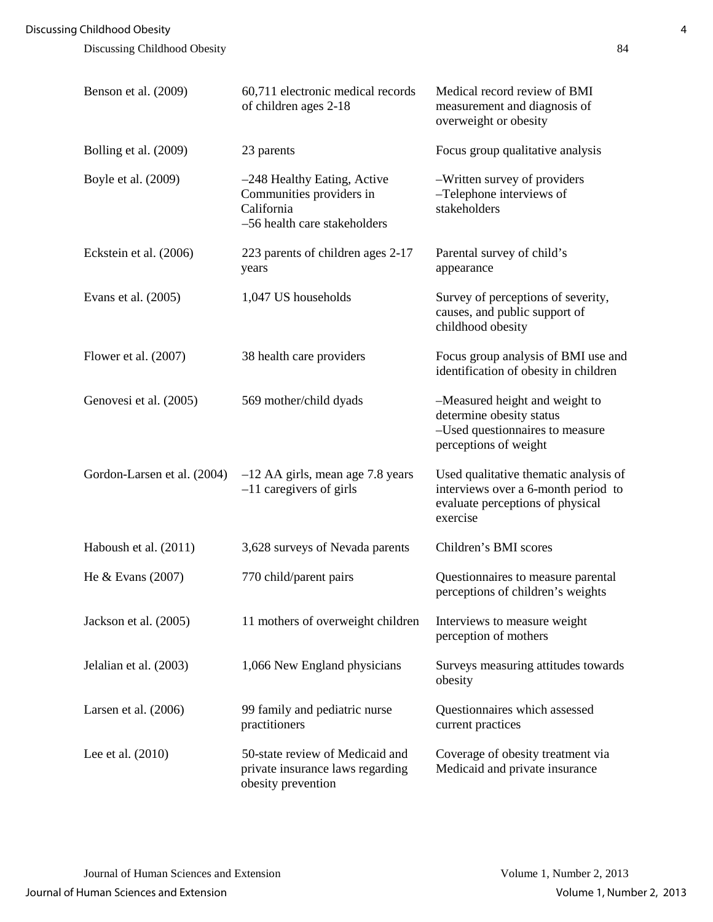| Benson et al. (2009)        | 60,711 electronic medical records<br>of children ages 2-18                                            | Medical record review of BMI<br>measurement and diagnosis of<br>overweight or obesity                                        |
|-----------------------------|-------------------------------------------------------------------------------------------------------|------------------------------------------------------------------------------------------------------------------------------|
| Bolling et al. (2009)       | 23 parents                                                                                            | Focus group qualitative analysis                                                                                             |
| Boyle et al. (2009)         | -248 Healthy Eating, Active<br>Communities providers in<br>California<br>-56 health care stakeholders | -Written survey of providers<br>-Telephone interviews of<br>stakeholders                                                     |
| Eckstein et al. (2006)      | 223 parents of children ages 2-17<br>years                                                            | Parental survey of child's<br>appearance                                                                                     |
| Evans et al. $(2005)$       | 1,047 US households                                                                                   | Survey of perceptions of severity,<br>causes, and public support of<br>childhood obesity                                     |
| Flower et al. $(2007)$      | 38 health care providers                                                                              | Focus group analysis of BMI use and<br>identification of obesity in children                                                 |
| Genovesi et al. (2005)      | 569 mother/child dyads                                                                                | -Measured height and weight to<br>determine obesity status<br>-Used questionnaires to measure<br>perceptions of weight       |
| Gordon-Larsen et al. (2004) | $-12$ AA girls, mean age 7.8 years<br>$-11$ caregivers of girls                                       | Used qualitative thematic analysis of<br>interviews over a 6-month period to<br>evaluate perceptions of physical<br>exercise |
| Haboush et al. (2011)       | 3,628 surveys of Nevada parents                                                                       | Children's BMI scores                                                                                                        |
| He $& Evans(2007)$          | 770 child/parent pairs                                                                                | Questionnaires to measure parental<br>perceptions of children's weights                                                      |
| Jackson et al. (2005)       | 11 mothers of overweight children                                                                     | Interviews to measure weight<br>perception of mothers                                                                        |
| Jelalian et al. (2003)      | 1,066 New England physicians                                                                          | Surveys measuring attitudes towards<br>obesity                                                                               |
| Larsen et al. $(2006)$      | 99 family and pediatric nurse<br>practitioners                                                        | Questionnaires which assessed<br>current practices                                                                           |
| Lee et al. $(2010)$         | 50-state review of Medicaid and<br>private insurance laws regarding<br>obesity prevention             | Coverage of obesity treatment via<br>Medicaid and private insurance                                                          |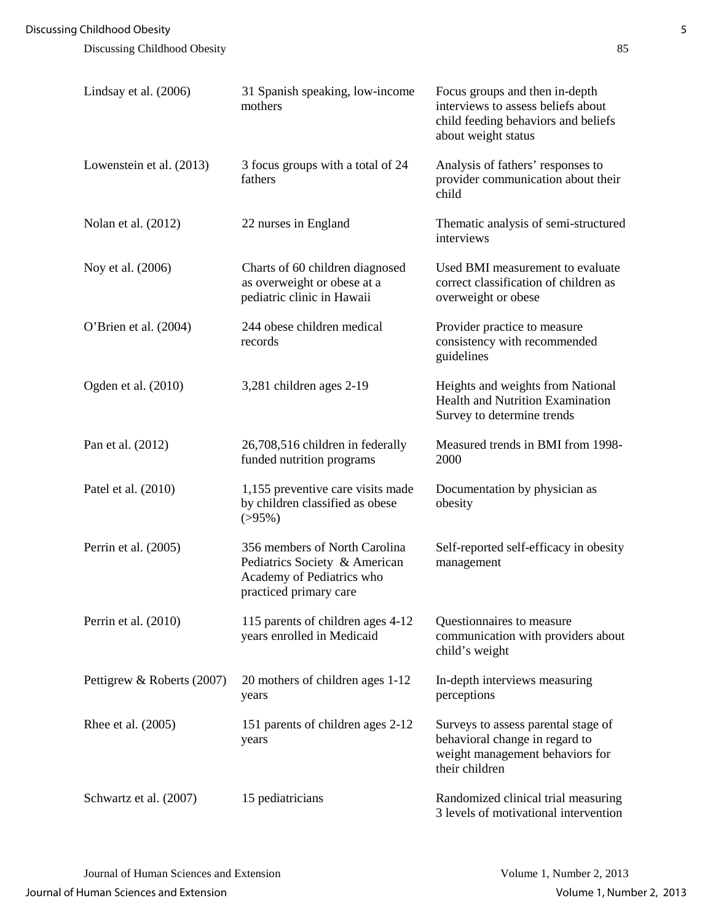| Lindsay et al. (2006)      | 31 Spanish speaking, low-income<br>mothers                                                                            | Focus groups and then in-depth<br>interviews to assess beliefs about<br>child feeding behaviors and beliefs<br>about weight status |
|----------------------------|-----------------------------------------------------------------------------------------------------------------------|------------------------------------------------------------------------------------------------------------------------------------|
| Lowenstein et al. (2013)   | 3 focus groups with a total of 24<br>fathers                                                                          | Analysis of fathers' responses to<br>provider communication about their<br>child                                                   |
| Nolan et al. (2012)        | 22 nurses in England                                                                                                  | Thematic analysis of semi-structured<br>interviews                                                                                 |
| Noy et al. (2006)          | Charts of 60 children diagnosed<br>as overweight or obese at a<br>pediatric clinic in Hawaii                          | Used BMI measurement to evaluate<br>correct classification of children as<br>overweight or obese                                   |
| O'Brien et al. (2004)      | 244 obese children medical<br>records                                                                                 | Provider practice to measure<br>consistency with recommended<br>guidelines                                                         |
| Ogden et al. (2010)        | 3,281 children ages 2-19                                                                                              | Heights and weights from National<br><b>Health and Nutrition Examination</b><br>Survey to determine trends                         |
| Pan et al. (2012)          | 26,708,516 children in federally<br>funded nutrition programs                                                         | Measured trends in BMI from 1998-<br>2000                                                                                          |
| Patel et al. (2010)        | 1,155 preventive care visits made<br>by children classified as obese<br>$( > 95\%)$                                   | Documentation by physician as<br>obesity                                                                                           |
| Perrin et al. (2005)       | 356 members of North Carolina<br>Pediatrics Society & American<br>Academy of Pediatrics who<br>practiced primary care | Self-reported self-efficacy in obesity<br>management                                                                               |
| Perrin et al. $(2010)$     | 115 parents of children ages 4-12<br>years enrolled in Medicaid                                                       | Questionnaires to measure<br>communication with providers about<br>child's weight                                                  |
| Pettigrew & Roberts (2007) | 20 mothers of children ages 1-12<br>years                                                                             | In-depth interviews measuring<br>perceptions                                                                                       |
| Rhee et al. (2005)         | 151 parents of children ages 2-12<br>years                                                                            | Surveys to assess parental stage of<br>behavioral change in regard to<br>weight management behaviors for<br>their children         |
| Schwartz et al. (2007)     | 15 pediatricians                                                                                                      | Randomized clinical trial measuring<br>3 levels of motivational intervention                                                       |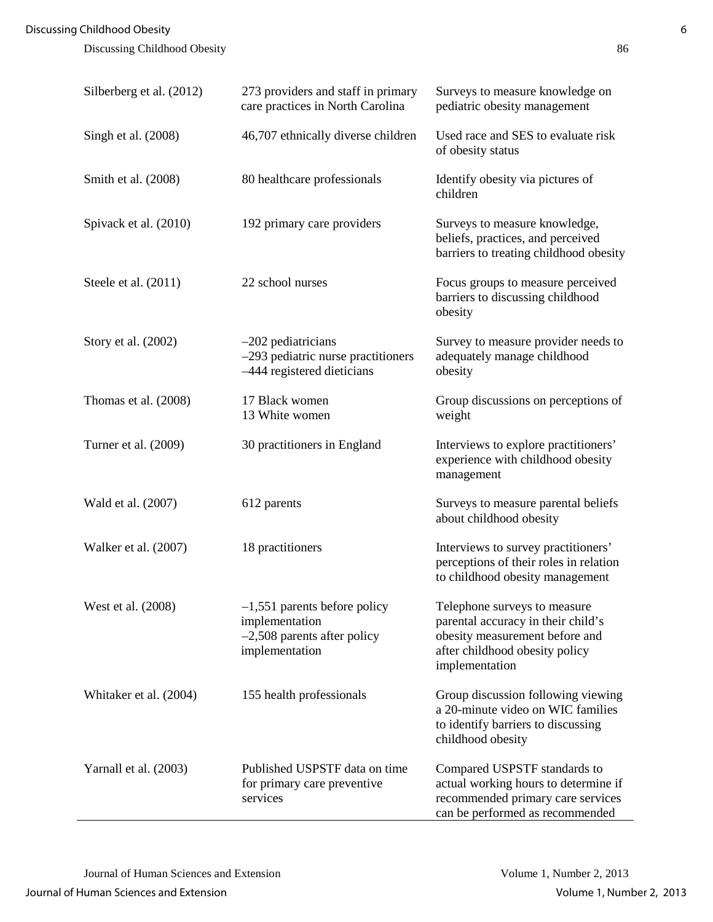| Silberberg et al. (2012) | 273 providers and staff in primary<br>care practices in North Carolina                              | Surveys to measure knowledge on<br>pediatric obesity management                                                                                          |
|--------------------------|-----------------------------------------------------------------------------------------------------|----------------------------------------------------------------------------------------------------------------------------------------------------------|
| Singh et al. (2008)      | 46,707 ethnically diverse children                                                                  | Used race and SES to evaluate risk<br>of obesity status                                                                                                  |
| Smith et al. (2008)      | 80 healthcare professionals                                                                         | Identify obesity via pictures of<br>children                                                                                                             |
| Spivack et al. (2010)    | 192 primary care providers                                                                          | Surveys to measure knowledge,<br>beliefs, practices, and perceived<br>barriers to treating childhood obesity                                             |
| Steele et al. $(2011)$   | 22 school nurses                                                                                    | Focus groups to measure perceived<br>barriers to discussing childhood<br>obesity                                                                         |
| Story et al. (2002)      | $-202$ pediatricians<br>-293 pediatric nurse practitioners<br>-444 registered dieticians            | Survey to measure provider needs to<br>adequately manage childhood<br>obesity                                                                            |
| Thomas et al. (2008)     | 17 Black women<br>13 White women                                                                    | Group discussions on perceptions of<br>weight                                                                                                            |
| Turner et al. (2009)     | 30 practitioners in England                                                                         | Interviews to explore practitioners'<br>experience with childhood obesity<br>management                                                                  |
| Wald et al. (2007)       | 612 parents                                                                                         | Surveys to measure parental beliefs<br>about childhood obesity                                                                                           |
| Walker et al. (2007)     | 18 practitioners                                                                                    | Interviews to survey practitioners'<br>perceptions of their roles in relation<br>to childhood obesity management                                         |
| West et al. (2008)       | $-1,551$ parents before policy<br>implementation<br>$-2,508$ parents after policy<br>implementation | Telephone surveys to measure<br>parental accuracy in their child's<br>obesity measurement before and<br>after childhood obesity policy<br>implementation |
| Whitaker et al. (2004)   | 155 health professionals                                                                            | Group discussion following viewing<br>a 20-minute video on WIC families<br>to identify barriers to discussing<br>childhood obesity                       |
| Yarnall et al. (2003)    | Published USPSTF data on time<br>for primary care preventive<br>services                            | Compared USPSTF standards to<br>actual working hours to determine if<br>recommended primary care services<br>can be performed as recommended             |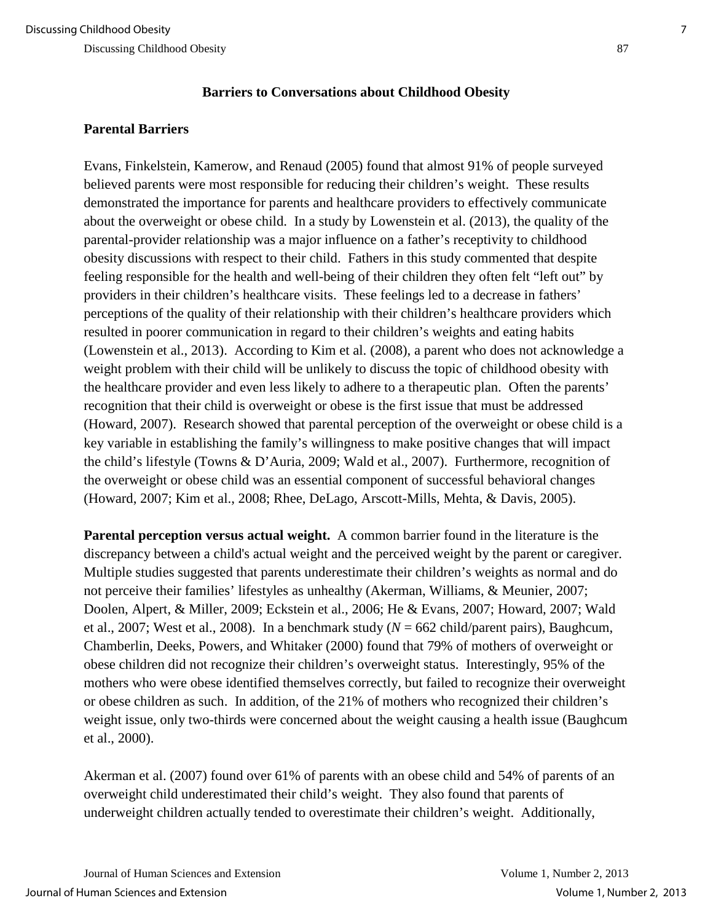### **Barriers to Conversations about Childhood Obesity**

## **Parental Barriers**

Evans, Finkelstein, Kamerow, and Renaud (2005) found that almost 91% of people surveyed believed parents were most responsible for reducing their children's weight. These results demonstrated the importance for parents and healthcare providers to effectively communicate about the overweight or obese child. In a study by Lowenstein et al. (2013), the quality of the parental-provider relationship was a major influence on a father's receptivity to childhood obesity discussions with respect to their child. Fathers in this study commented that despite feeling responsible for the health and well-being of their children they often felt "left out" by providers in their children's healthcare visits. These feelings led to a decrease in fathers' perceptions of the quality of their relationship with their children's healthcare providers which resulted in poorer communication in regard to their children's weights and eating habits (Lowenstein et al., 2013). According to Kim et al. (2008), a parent who does not acknowledge a weight problem with their child will be unlikely to discuss the topic of childhood obesity with the healthcare provider and even less likely to adhere to a therapeutic plan. Often the parents' recognition that their child is overweight or obese is the first issue that must be addressed (Howard, 2007). Research showed that parental perception of the overweight or obese child is a key variable in establishing the family's willingness to make positive changes that will impact the child's lifestyle (Towns & D'Auria, 2009; Wald et al., 2007). Furthermore, recognition of the overweight or obese child was an essential component of successful behavioral changes (Howard, 2007; Kim et al., 2008; Rhee, DeLago, Arscott-Mills, Mehta, & Davis, 2005).

**Parental perception versus actual weight.** A common barrier found in the literature is the discrepancy between a child's actual weight and the perceived weight by the parent or caregiver. Multiple studies suggested that parents underestimate their children's weights as normal and do not perceive their families' lifestyles as unhealthy (Akerman, Williams, & Meunier, 2007; Doolen, Alpert, & Miller, 2009; Eckstein et al., 2006; He & Evans, 2007; Howard, 2007; Wald et al., 2007; West et al., 2008). In a benchmark study (*N* = 662 child/parent pairs), Baughcum, Chamberlin, Deeks, Powers, and Whitaker (2000) found that 79% of mothers of overweight or obese children did not recognize their children's overweight status. Interestingly, 95% of the mothers who were obese identified themselves correctly, but failed to recognize their overweight or obese children as such. In addition, of the 21% of mothers who recognized their children's weight issue, only two-thirds were concerned about the weight causing a health issue (Baughcum et al., 2000).

Akerman et al. (2007) found over 61% of parents with an obese child and 54% of parents of an overweight child underestimated their child's weight. They also found that parents of underweight children actually tended to overestimate their children's weight. Additionally,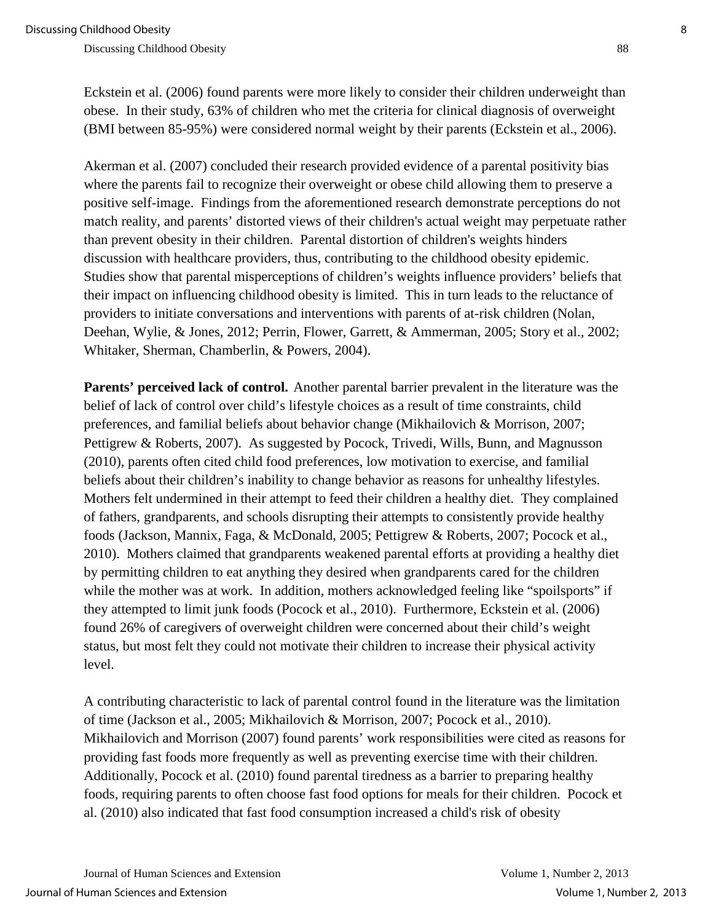Eckstein et al. (2006) found parents were more likely to consider their children underweight than obese. In their study, 63% of children who met the criteria for clinical diagnosis of overweight (BMI between 85-95%) were considered normal weight by their parents (Eckstein et al., 2006).

Akerman et al. (2007) concluded their research provided evidence of a parental positivity bias where the parents fail to recognize their overweight or obese child allowing them to preserve a positive self-image. Findings from the aforementioned research demonstrate perceptions do not match reality, and parents' distorted views of their children's actual weight may perpetuate rather than prevent obesity in their children. Parental distortion of children's weights hinders discussion with healthcare providers, thus, contributing to the childhood obesity epidemic. Studies show that parental misperceptions of children's weights influence providers' beliefs that their impact on influencing childhood obesity is limited. This in turn leads to the reluctance of providers to initiate conversations and interventions with parents of at-risk children (Nolan, Deehan, Wylie, & Jones, 2012; Perrin, Flower, Garrett, & Ammerman, 2005; Story et al., 2002; Whitaker, Sherman, Chamberlin, & Powers, 2004).

**Parents' perceived lack of control.** Another parental barrier prevalent in the literature was the belief of lack of control over child's lifestyle choices as a result of time constraints, child preferences, and familial beliefs about behavior change (Mikhailovich & Morrison, 2007; Pettigrew & Roberts, 2007). As suggested by Pocock, Trivedi, Wills, Bunn, and Magnusson (2010), parents often cited child food preferences, low motivation to exercise, and familial beliefs about their children's inability to change behavior as reasons for unhealthy lifestyles. Mothers felt undermined in their attempt to feed their children a healthy diet. They complained of fathers, grandparents, and schools disrupting their attempts to consistently provide healthy foods (Jackson, Mannix, Faga, & McDonald, 2005; Pettigrew & Roberts, 2007; Pocock et al., 2010). Mothers claimed that grandparents weakened parental efforts at providing a healthy diet by permitting children to eat anything they desired when grandparents cared for the children while the mother was at work. In addition, mothers acknowledged feeling like "spoilsports" if they attempted to limit junk foods (Pocock et al., 2010). Furthermore, Eckstein et al. (2006) found 26% of caregivers of overweight children were concerned about their child's weight status, but most felt they could not motivate their children to increase their physical activity level.

A contributing characteristic to lack of parental control found in the literature was the limitation of time (Jackson et al., 2005; Mikhailovich & Morrison, 2007; Pocock et al., 2010). Mikhailovich and Morrison (2007) found parents' work responsibilities were cited as reasons for providing fast foods more frequently as well as preventing exercise time with their children. Additionally, Pocock et al. (2010) found parental tiredness as a barrier to preparing healthy foods, requiring parents to often choose fast food options for meals for their children. Pocock et al. (2010) also indicated that fast food consumption increased a child's risk of obesity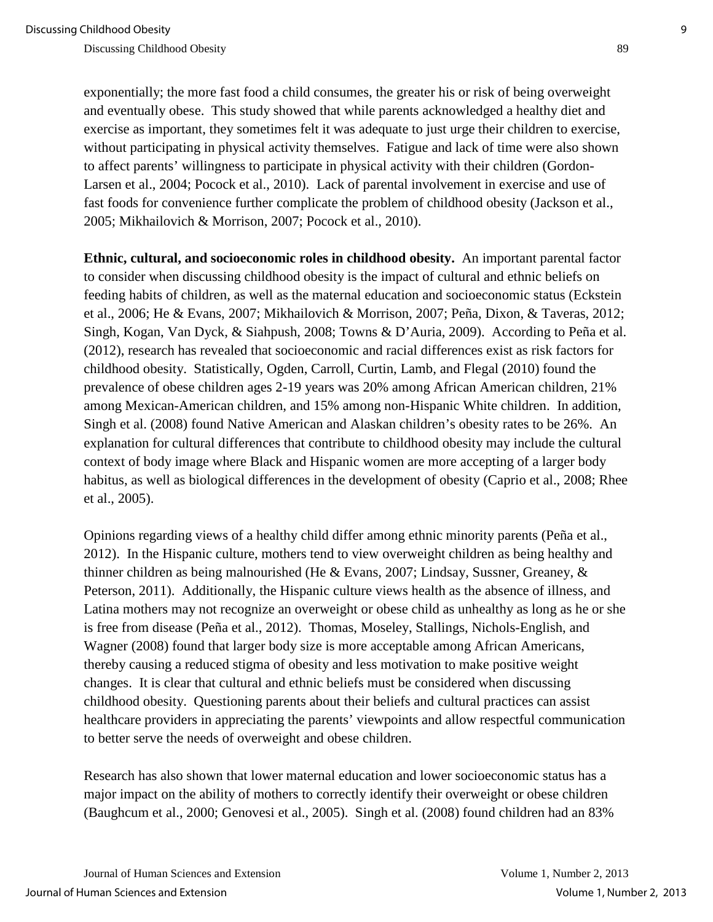exponentially; the more fast food a child consumes, the greater his or risk of being overweight and eventually obese. This study showed that while parents acknowledged a healthy diet and exercise as important, they sometimes felt it was adequate to just urge their children to exercise, without participating in physical activity themselves. Fatigue and lack of time were also shown to affect parents' willingness to participate in physical activity with their children (Gordon-Larsen et al., 2004; Pocock et al., 2010). Lack of parental involvement in exercise and use of fast foods for convenience further complicate the problem of childhood obesity (Jackson et al., 2005; Mikhailovich & Morrison, 2007; Pocock et al., 2010).

**Ethnic, cultural, and socioeconomic roles in childhood obesity.** An important parental factor to consider when discussing childhood obesity is the impact of cultural and ethnic beliefs on feeding habits of children, as well as the maternal education and socioeconomic status (Eckstein et al., 2006; He & Evans, 2007; Mikhailovich & Morrison, 2007; Peña, Dixon, & Taveras, 2012; Singh, Kogan, Van Dyck, & Siahpush, 2008; Towns & D'Auria, 2009). According to Peña et al. (2012), research has revealed that socioeconomic and racial differences exist as risk factors for childhood obesity. Statistically, Ogden, Carroll, Curtin, Lamb, and Flegal (2010) found the prevalence of obese children ages 2-19 years was 20% among African American children, 21% among Mexican-American children, and 15% among non-Hispanic White children. In addition, Singh et al. (2008) found Native American and Alaskan children's obesity rates to be 26%. An explanation for cultural differences that contribute to childhood obesity may include the cultural context of body image where Black and Hispanic women are more accepting of a larger body habitus, as well as biological differences in the development of obesity (Caprio et al., 2008; Rhee et al., 2005).

Opinions regarding views of a healthy child differ among ethnic minority parents (Peña et al., 2012). In the Hispanic culture, mothers tend to view overweight children as being healthy and thinner children as being malnourished (He & Evans, 2007; Lindsay, Sussner, Greaney, & Peterson, 2011). Additionally, the Hispanic culture views health as the absence of illness, and Latina mothers may not recognize an overweight or obese child as unhealthy as long as he or she is free from disease (Peña et al., 2012). Thomas, Moseley, Stallings, Nichols-English, and Wagner (2008) found that larger body size is more acceptable among African Americans, thereby causing a reduced stigma of obesity and less motivation to make positive weight changes. It is clear that cultural and ethnic beliefs must be considered when discussing childhood obesity. Questioning parents about their beliefs and cultural practices can assist healthcare providers in appreciating the parents' viewpoints and allow respectful communication to better serve the needs of overweight and obese children.

Research has also shown that lower maternal education and lower socioeconomic status has a major impact on the ability of mothers to correctly identify their overweight or obese children (Baughcum et al., 2000; Genovesi et al., 2005). Singh et al. (2008) found children had an 83%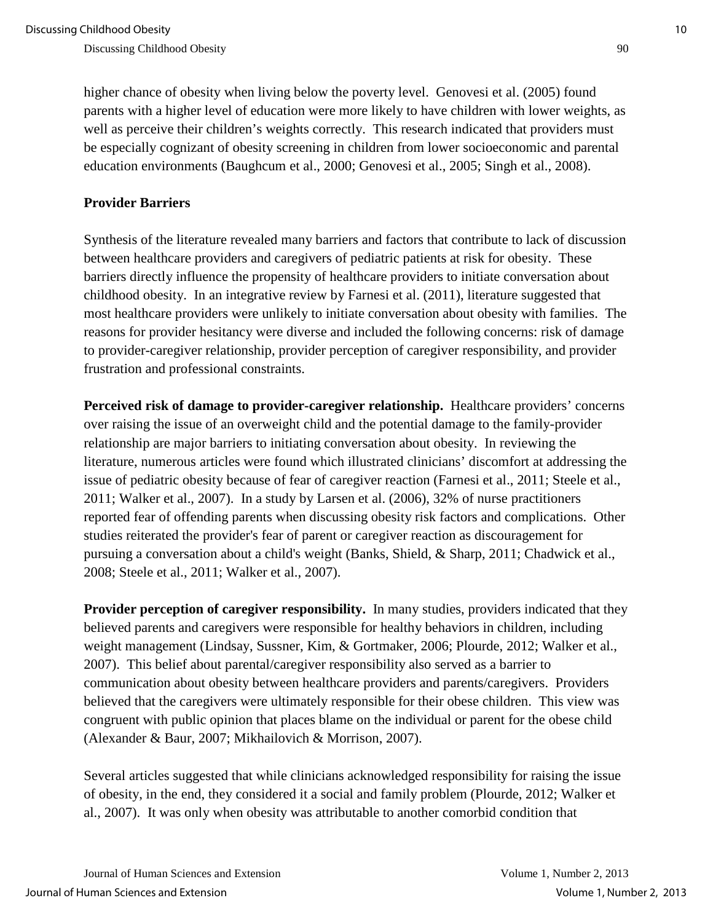higher chance of obesity when living below the poverty level. Genovesi et al. (2005) found parents with a higher level of education were more likely to have children with lower weights, as well as perceive their children's weights correctly. This research indicated that providers must be especially cognizant of obesity screening in children from lower socioeconomic and parental education environments (Baughcum et al., 2000; Genovesi et al., 2005; Singh et al., 2008).

#### **Provider Barriers**

Synthesis of the literature revealed many barriers and factors that contribute to lack of discussion between healthcare providers and caregivers of pediatric patients at risk for obesity. These barriers directly influence the propensity of healthcare providers to initiate conversation about childhood obesity. In an integrative review by Farnesi et al. (2011), literature suggested that most healthcare providers were unlikely to initiate conversation about obesity with families. The reasons for provider hesitancy were diverse and included the following concerns: risk of damage to provider-caregiver relationship, provider perception of caregiver responsibility, and provider frustration and professional constraints.

Perceived risk of damage to provider-caregiver relationship. Healthcare providers' concerns over raising the issue of an overweight child and the potential damage to the family-provider relationship are major barriers to initiating conversation about obesity. In reviewing the literature, numerous articles were found which illustrated clinicians' discomfort at addressing the issue of pediatric obesity because of fear of caregiver reaction (Farnesi et al., 2011; Steele et al., 2011; Walker et al., 2007). In a study by Larsen et al. (2006), 32% of nurse practitioners reported fear of offending parents when discussing obesity risk factors and complications. Other studies reiterated the provider's fear of parent or caregiver reaction as discouragement for pursuing a conversation about a child's weight (Banks, Shield, & Sharp, 2011; Chadwick et al., 2008; Steele et al., 2011; Walker et al., 2007).

**Provider perception of caregiver responsibility.** In many studies, providers indicated that they believed parents and caregivers were responsible for healthy behaviors in children, including weight management (Lindsay, Sussner, Kim, & Gortmaker, 2006; Plourde, 2012; Walker et al., 2007). This belief about parental/caregiver responsibility also served as a barrier to communication about obesity between healthcare providers and parents/caregivers. Providers believed that the caregivers were ultimately responsible for their obese children. This view was congruent with public opinion that places blame on the individual or parent for the obese child (Alexander & Baur, 2007; Mikhailovich & Morrison, 2007).

Several articles suggested that while clinicians acknowledged responsibility for raising the issue of obesity, in the end, they considered it a social and family problem (Plourde, 2012; Walker et al., 2007). It was only when obesity was attributable to another comorbid condition that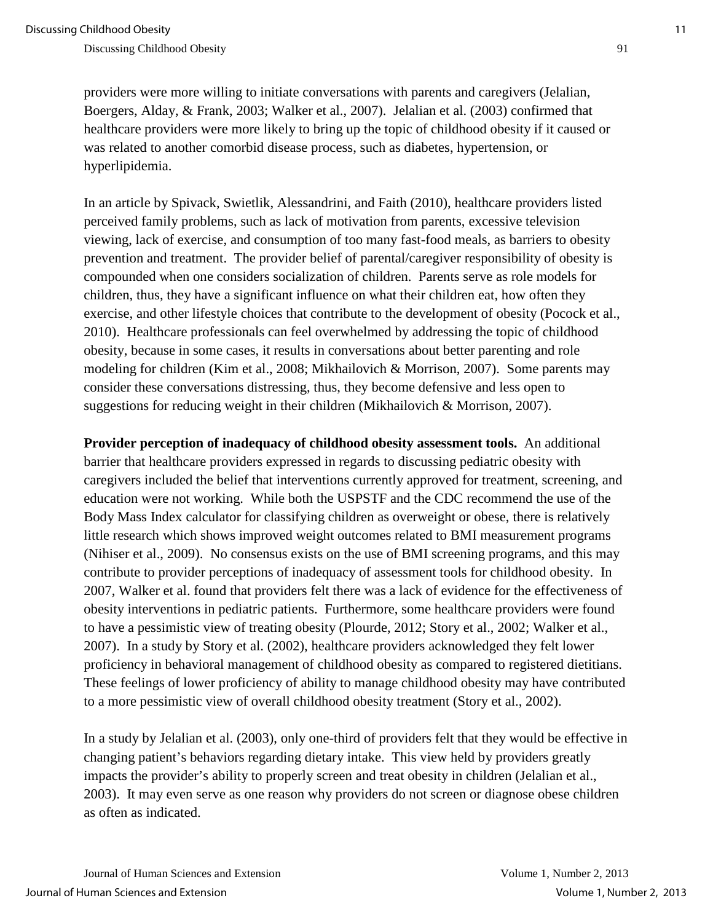providers were more willing to initiate conversations with parents and caregivers (Jelalian, Boergers, Alday, & Frank, 2003; Walker et al., 2007). Jelalian et al. (2003) confirmed that healthcare providers were more likely to bring up the topic of childhood obesity if it caused or was related to another comorbid disease process, such as diabetes, hypertension, or hyperlipidemia.

In an article by Spivack, Swietlik, Alessandrini, and Faith (2010), healthcare providers listed perceived family problems, such as lack of motivation from parents, excessive television viewing, lack of exercise, and consumption of too many fast-food meals, as barriers to obesity prevention and treatment. The provider belief of parental/caregiver responsibility of obesity is compounded when one considers socialization of children. Parents serve as role models for children, thus, they have a significant influence on what their children eat, how often they exercise, and other lifestyle choices that contribute to the development of obesity (Pocock et al., 2010). Healthcare professionals can feel overwhelmed by addressing the topic of childhood obesity, because in some cases, it results in conversations about better parenting and role modeling for children (Kim et al., 2008; Mikhailovich & Morrison, 2007). Some parents may consider these conversations distressing, thus, they become defensive and less open to suggestions for reducing weight in their children (Mikhailovich & Morrison, 2007).

**Provider perception of inadequacy of childhood obesity assessment tools.** An additional barrier that healthcare providers expressed in regards to discussing pediatric obesity with caregivers included the belief that interventions currently approved for treatment, screening, and education were not working. While both the USPSTF and the CDC recommend the use of the Body Mass Index calculator for classifying children as overweight or obese, there is relatively little research which shows improved weight outcomes related to BMI measurement programs (Nihiser et al., 2009). No consensus exists on the use of BMI screening programs, and this may contribute to provider perceptions of inadequacy of assessment tools for childhood obesity. In 2007, Walker et al. found that providers felt there was a lack of evidence for the effectiveness of obesity interventions in pediatric patients. Furthermore, some healthcare providers were found to have a pessimistic view of treating obesity (Plourde, 2012; Story et al., 2002; Walker et al., 2007). In a study by Story et al. (2002), healthcare providers acknowledged they felt lower proficiency in behavioral management of childhood obesity as compared to registered dietitians. These feelings of lower proficiency of ability to manage childhood obesity may have contributed to a more pessimistic view of overall childhood obesity treatment (Story et al., 2002).

In a study by Jelalian et al. (2003), only one-third of providers felt that they would be effective in changing patient's behaviors regarding dietary intake. This view held by providers greatly impacts the provider's ability to properly screen and treat obesity in children (Jelalian et al., 2003). It may even serve as one reason why providers do not screen or diagnose obese children as often as indicated.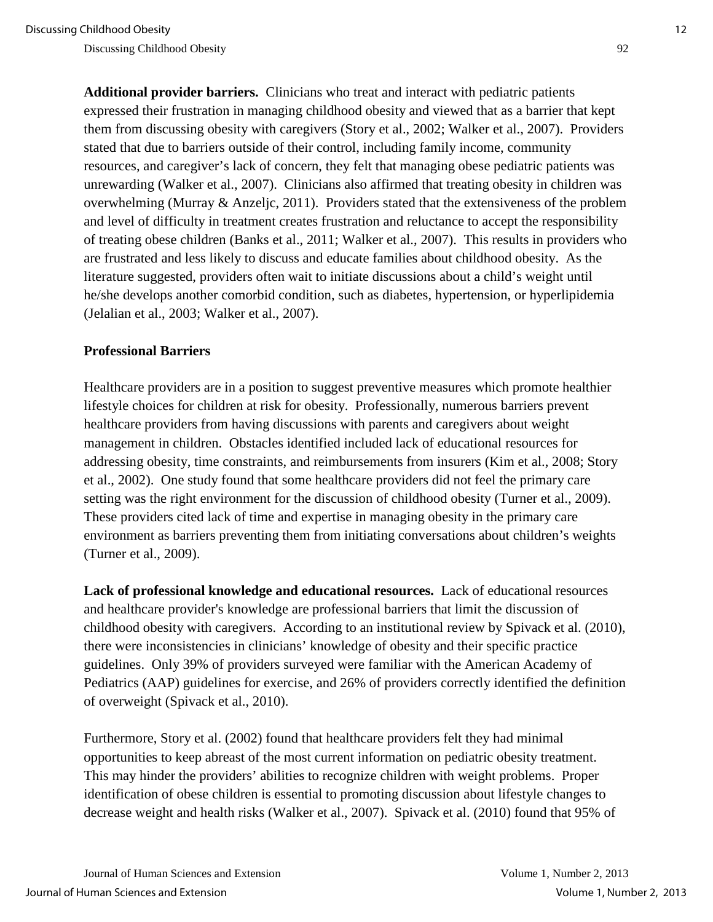**Additional provider barriers.** Clinicians who treat and interact with pediatric patients expressed their frustration in managing childhood obesity and viewed that as a barrier that kept them from discussing obesity with caregivers (Story et al., 2002; Walker et al., 2007). Providers stated that due to barriers outside of their control, including family income, community resources, and caregiver's lack of concern, they felt that managing obese pediatric patients was unrewarding (Walker et al., 2007). Clinicians also affirmed that treating obesity in children was overwhelming (Murray & Anzeljc, 2011). Providers stated that the extensiveness of the problem and level of difficulty in treatment creates frustration and reluctance to accept the responsibility of treating obese children (Banks et al., 2011; Walker et al., 2007). This results in providers who are frustrated and less likely to discuss and educate families about childhood obesity. As the literature suggested, providers often wait to initiate discussions about a child's weight until he/she develops another comorbid condition, such as diabetes, hypertension, or hyperlipidemia (Jelalian et al., 2003; Walker et al., 2007).

#### **Professional Barriers**

Healthcare providers are in a position to suggest preventive measures which promote healthier lifestyle choices for children at risk for obesity. Professionally, numerous barriers prevent healthcare providers from having discussions with parents and caregivers about weight management in children. Obstacles identified included lack of educational resources for addressing obesity, time constraints, and reimbursements from insurers (Kim et al., 2008; Story et al., 2002). One study found that some healthcare providers did not feel the primary care setting was the right environment for the discussion of childhood obesity (Turner et al., 2009). These providers cited lack of time and expertise in managing obesity in the primary care environment as barriers preventing them from initiating conversations about children's weights (Turner et al., 2009).

**Lack of professional knowledge and educational resources.** Lack of educational resources and healthcare provider's knowledge are professional barriers that limit the discussion of childhood obesity with caregivers. According to an institutional review by Spivack et al. (2010), there were inconsistencies in clinicians' knowledge of obesity and their specific practice guidelines. Only 39% of providers surveyed were familiar with the American Academy of Pediatrics (AAP) guidelines for exercise, and 26% of providers correctly identified the definition of overweight (Spivack et al., 2010).

Furthermore, Story et al. (2002) found that healthcare providers felt they had minimal opportunities to keep abreast of the most current information on pediatric obesity treatment. This may hinder the providers' abilities to recognize children with weight problems. Proper identification of obese children is essential to promoting discussion about lifestyle changes to decrease weight and health risks (Walker et al., 2007). Spivack et al. (2010) found that 95% of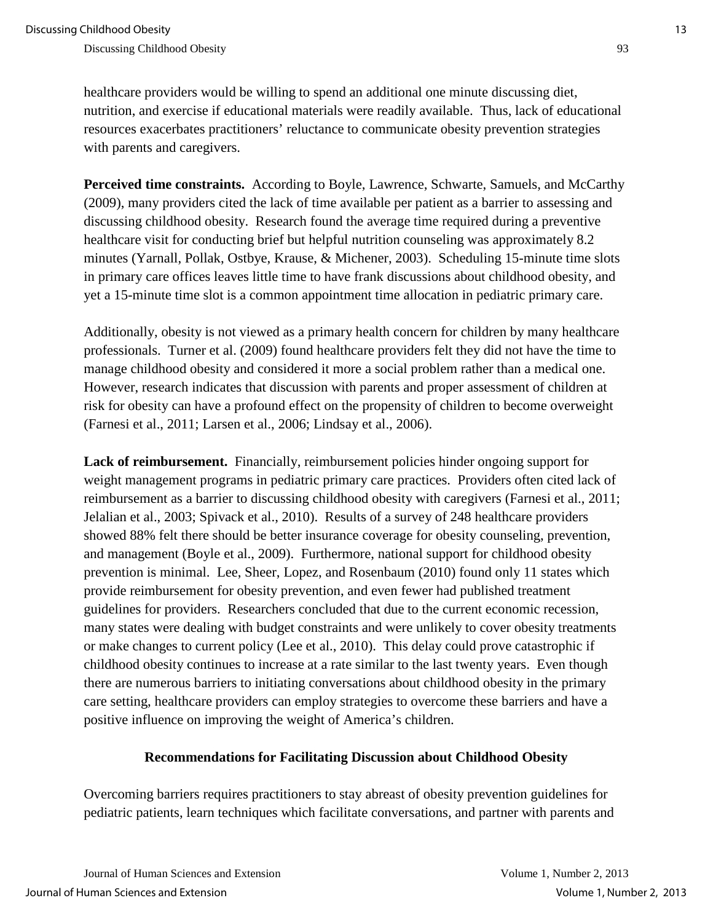healthcare providers would be willing to spend an additional one minute discussing diet, nutrition, and exercise if educational materials were readily available. Thus, lack of educational resources exacerbates practitioners' reluctance to communicate obesity prevention strategies with parents and caregivers.

**Perceived time constraints.** According to Boyle, Lawrence, Schwarte, Samuels, and McCarthy (2009), many providers cited the lack of time available per patient as a barrier to assessing and discussing childhood obesity. Research found the average time required during a preventive healthcare visit for conducting brief but helpful nutrition counseling was approximately 8.2 minutes (Yarnall, Pollak, Ostbye, Krause, & Michener, 2003). Scheduling 15-minute time slots in primary care offices leaves little time to have frank discussions about childhood obesity, and yet a 15-minute time slot is a common appointment time allocation in pediatric primary care.

Additionally, obesity is not viewed as a primary health concern for children by many healthcare professionals. Turner et al. (2009) found healthcare providers felt they did not have the time to manage childhood obesity and considered it more a social problem rather than a medical one. However, research indicates that discussion with parents and proper assessment of children at risk for obesity can have a profound effect on the propensity of children to become overweight (Farnesi et al., 2011; Larsen et al., 2006; Lindsay et al., 2006).

**Lack of reimbursement.** Financially, reimbursement policies hinder ongoing support for weight management programs in pediatric primary care practices. Providers often cited lack of reimbursement as a barrier to discussing childhood obesity with caregivers (Farnesi et al., 2011; Jelalian et al., 2003; Spivack et al., 2010). Results of a survey of 248 healthcare providers showed 88% felt there should be better insurance coverage for obesity counseling, prevention, and management (Boyle et al., 2009). Furthermore, national support for childhood obesity prevention is minimal. Lee, Sheer, Lopez, and Rosenbaum (2010) found only 11 states which provide reimbursement for obesity prevention, and even fewer had published treatment guidelines for providers. Researchers concluded that due to the current economic recession, many states were dealing with budget constraints and were unlikely to cover obesity treatments or make changes to current policy (Lee et al., 2010). This delay could prove catastrophic if childhood obesity continues to increase at a rate similar to the last twenty years. Even though there are numerous barriers to initiating conversations about childhood obesity in the primary care setting, healthcare providers can employ strategies to overcome these barriers and have a positive influence on improving the weight of America's children.

#### **Recommendations for Facilitating Discussion about Childhood Obesity**

Overcoming barriers requires practitioners to stay abreast of obesity prevention guidelines for pediatric patients, learn techniques which facilitate conversations, and partner with parents and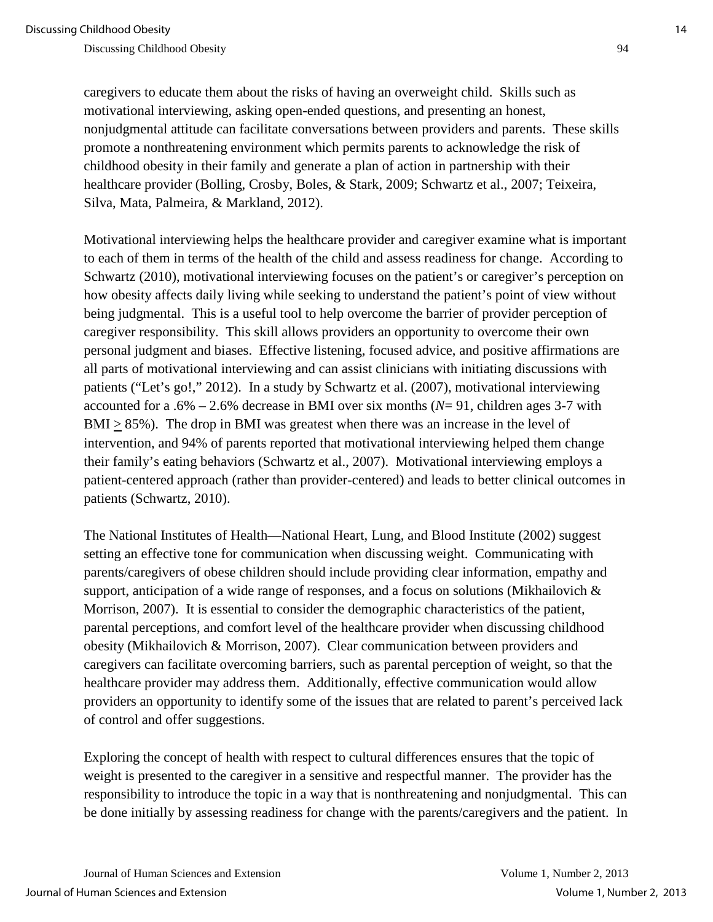caregivers to educate them about the risks of having an overweight child. Skills such as motivational interviewing, asking open-ended questions, and presenting an honest, nonjudgmental attitude can facilitate conversations between providers and parents. These skills promote a nonthreatening environment which permits parents to acknowledge the risk of childhood obesity in their family and generate a plan of action in partnership with their healthcare provider (Bolling, Crosby, Boles, & Stark, 2009; Schwartz et al., 2007; Teixeira, Silva, Mata, Palmeira, & Markland, 2012).

Motivational interviewing helps the healthcare provider and caregiver examine what is important to each of them in terms of the health of the child and assess readiness for change. According to Schwartz (2010), motivational interviewing focuses on the patient's or caregiver's perception on how obesity affects daily living while seeking to understand the patient's point of view without being judgmental. This is a useful tool to help overcome the barrier of provider perception of caregiver responsibility. This skill allows providers an opportunity to overcome their own personal judgment and biases. Effective listening, focused advice, and positive affirmations are all parts of motivational interviewing and can assist clinicians with initiating discussions with patients ("Let's go!," 2012). In a study by Schwartz et al. (2007), motivational interviewing accounted for a .6% – 2.6% decrease in BMI over six months (*N*= 91, children ages 3-7 with BMI > 85%). The drop in BMI was greatest when there was an increase in the level of intervention, and 94% of parents reported that motivational interviewing helped them change their family's eating behaviors (Schwartz et al., 2007). Motivational interviewing employs a patient-centered approach (rather than provider-centered) and leads to better clinical outcomes in patients (Schwartz, 2010).

The National Institutes of Health—National Heart, Lung, and Blood Institute (2002) suggest setting an effective tone for communication when discussing weight. Communicating with parents/caregivers of obese children should include providing clear information, empathy and support, anticipation of a wide range of responses, and a focus on solutions (Mikhailovich & Morrison, 2007). It is essential to consider the demographic characteristics of the patient, parental perceptions, and comfort level of the healthcare provider when discussing childhood obesity (Mikhailovich & Morrison, 2007). Clear communication between providers and caregivers can facilitate overcoming barriers, such as parental perception of weight, so that the healthcare provider may address them. Additionally, effective communication would allow providers an opportunity to identify some of the issues that are related to parent's perceived lack of control and offer suggestions.

Exploring the concept of health with respect to cultural differences ensures that the topic of weight is presented to the caregiver in a sensitive and respectful manner. The provider has the responsibility to introduce the topic in a way that is nonthreatening and nonjudgmental. This can be done initially by assessing readiness for change with the parents/caregivers and the patient. In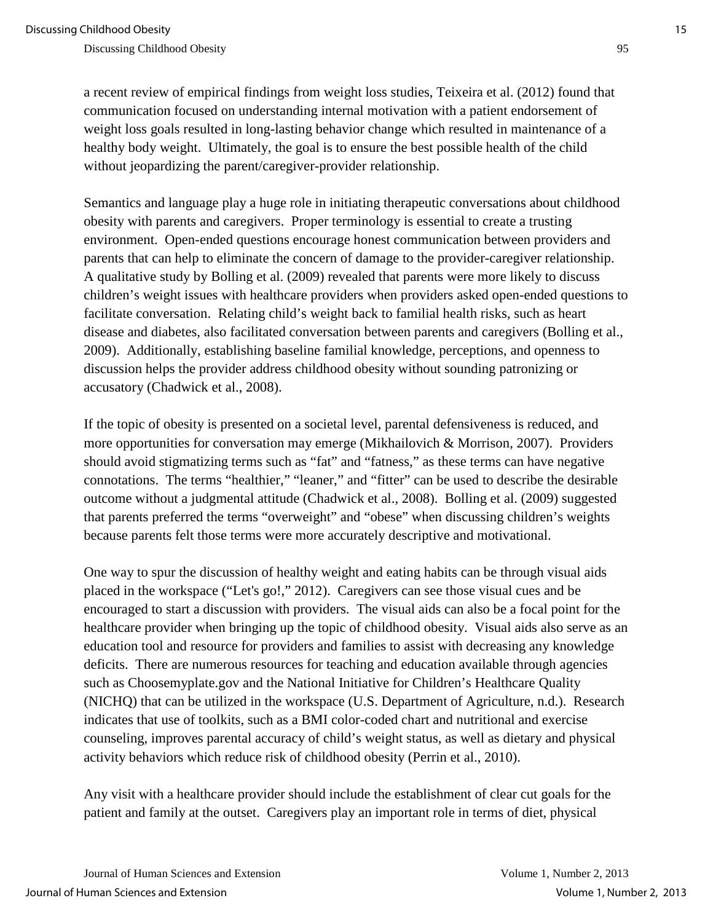a recent review of empirical findings from weight loss studies, Teixeira et al. (2012) found that communication focused on understanding internal motivation with a patient endorsement of weight loss goals resulted in long-lasting behavior change which resulted in maintenance of a healthy body weight. Ultimately, the goal is to ensure the best possible health of the child without jeopardizing the parent/caregiver-provider relationship.

Semantics and language play a huge role in initiating therapeutic conversations about childhood obesity with parents and caregivers. Proper terminology is essential to create a trusting environment. Open-ended questions encourage honest communication between providers and parents that can help to eliminate the concern of damage to the provider-caregiver relationship. A qualitative study by Bolling et al. (2009) revealed that parents were more likely to discuss children's weight issues with healthcare providers when providers asked open-ended questions to facilitate conversation. Relating child's weight back to familial health risks, such as heart disease and diabetes, also facilitated conversation between parents and caregivers (Bolling et al., 2009). Additionally, establishing baseline familial knowledge, perceptions, and openness to discussion helps the provider address childhood obesity without sounding patronizing or accusatory (Chadwick et al., 2008).

If the topic of obesity is presented on a societal level, parental defensiveness is reduced, and more opportunities for conversation may emerge (Mikhailovich & Morrison, 2007). Providers should avoid stigmatizing terms such as "fat" and "fatness," as these terms can have negative connotations. The terms "healthier," "leaner," and "fitter" can be used to describe the desirable outcome without a judgmental attitude (Chadwick et al., 2008). Bolling et al. (2009) suggested that parents preferred the terms "overweight" and "obese" when discussing children's weights because parents felt those terms were more accurately descriptive and motivational.

One way to spur the discussion of healthy weight and eating habits can be through visual aids placed in the workspace ("Let's go!," 2012). Caregivers can see those visual cues and be encouraged to start a discussion with providers. The visual aids can also be a focal point for the healthcare provider when bringing up the topic of childhood obesity. Visual aids also serve as an education tool and resource for providers and families to assist with decreasing any knowledge deficits. There are numerous resources for teaching and education available through agencies such as Choosemyplate.gov and the National Initiative for Children's Healthcare Quality (NICHQ) that can be utilized in the workspace (U.S. Department of Agriculture, n.d.). Research indicates that use of toolkits, such as a BMI color-coded chart and nutritional and exercise counseling, improves parental accuracy of child's weight status, as well as dietary and physical activity behaviors which reduce risk of childhood obesity (Perrin et al., 2010).

Any visit with a healthcare provider should include the establishment of clear cut goals for the patient and family at the outset. Caregivers play an important role in terms of diet, physical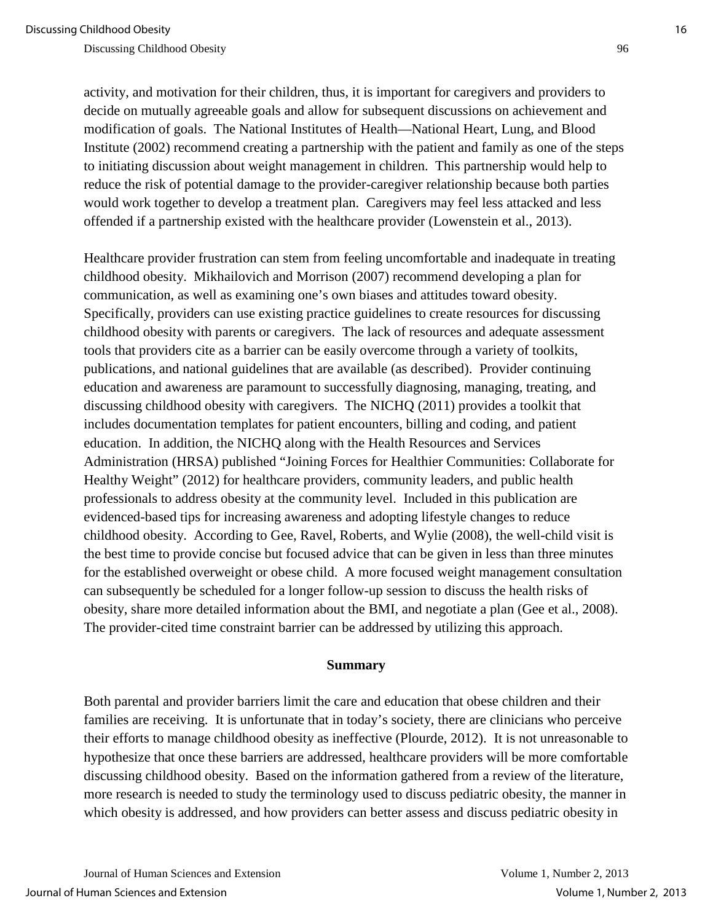activity, and motivation for their children, thus, it is important for caregivers and providers to decide on mutually agreeable goals and allow for subsequent discussions on achievement and modification of goals. The National Institutes of Health—National Heart, Lung, and Blood Institute (2002) recommend creating a partnership with the patient and family as one of the steps to initiating discussion about weight management in children. This partnership would help to reduce the risk of potential damage to the provider-caregiver relationship because both parties would work together to develop a treatment plan. Caregivers may feel less attacked and less offended if a partnership existed with the healthcare provider (Lowenstein et al., 2013).

Healthcare provider frustration can stem from feeling uncomfortable and inadequate in treating childhood obesity. Mikhailovich and Morrison (2007) recommend developing a plan for communication, as well as examining one's own biases and attitudes toward obesity. Specifically, providers can use existing practice guidelines to create resources for discussing childhood obesity with parents or caregivers. The lack of resources and adequate assessment tools that providers cite as a barrier can be easily overcome through a variety of toolkits, publications, and national guidelines that are available (as described). Provider continuing education and awareness are paramount to successfully diagnosing, managing, treating, and discussing childhood obesity with caregivers. The NICHQ (2011) provides a toolkit that includes documentation templates for patient encounters, billing and coding, and patient education. In addition, the NICHQ along with the Health Resources and Services Administration (HRSA) published "Joining Forces for Healthier Communities: Collaborate for Healthy Weight" (2012) for healthcare providers, community leaders, and public health professionals to address obesity at the community level. Included in this publication are evidenced-based tips for increasing awareness and adopting lifestyle changes to reduce childhood obesity. According to Gee, Ravel, Roberts, and Wylie (2008), the well-child visit is the best time to provide concise but focused advice that can be given in less than three minutes for the established overweight or obese child. A more focused weight management consultation can subsequently be scheduled for a longer follow-up session to discuss the health risks of obesity, share more detailed information about the BMI, and negotiate a plan (Gee et al., 2008). The provider-cited time constraint barrier can be addressed by utilizing this approach.

#### **Summary**

Both parental and provider barriers limit the care and education that obese children and their families are receiving. It is unfortunate that in today's society, there are clinicians who perceive their efforts to manage childhood obesity as ineffective (Plourde, 2012). It is not unreasonable to hypothesize that once these barriers are addressed, healthcare providers will be more comfortable discussing childhood obesity. Based on the information gathered from a review of the literature, more research is needed to study the terminology used to discuss pediatric obesity, the manner in which obesity is addressed, and how providers can better assess and discuss pediatric obesity in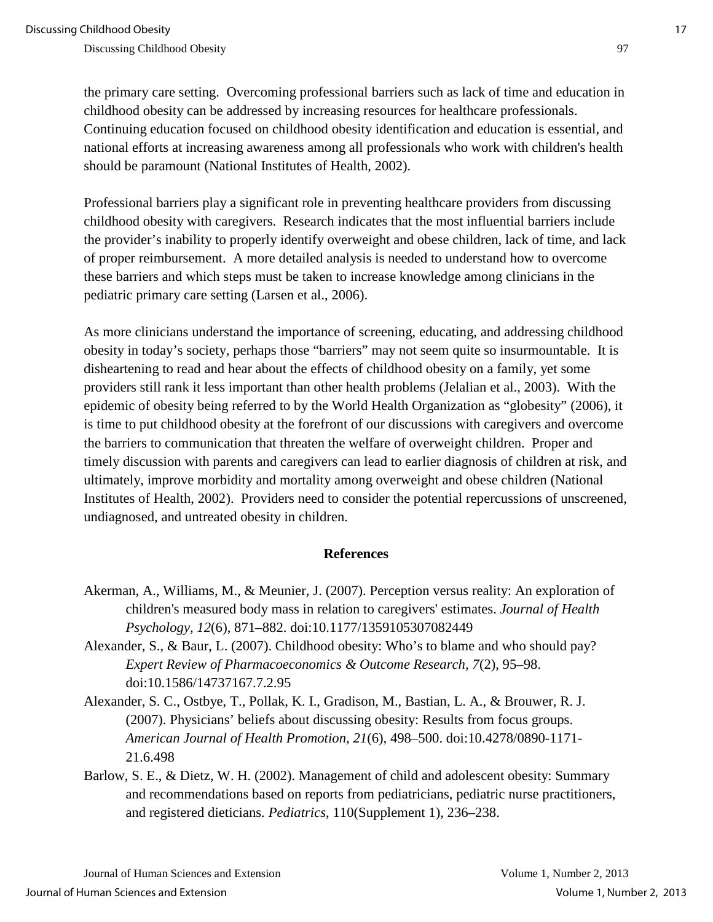the primary care setting. Overcoming professional barriers such as lack of time and education in childhood obesity can be addressed by increasing resources for healthcare professionals. Continuing education focused on childhood obesity identification and education is essential, and national efforts at increasing awareness among all professionals who work with children's health should be paramount (National Institutes of Health, 2002).

Professional barriers play a significant role in preventing healthcare providers from discussing childhood obesity with caregivers. Research indicates that the most influential barriers include the provider's inability to properly identify overweight and obese children, lack of time, and lack of proper reimbursement. A more detailed analysis is needed to understand how to overcome these barriers and which steps must be taken to increase knowledge among clinicians in the pediatric primary care setting (Larsen et al., 2006).

As more clinicians understand the importance of screening, educating, and addressing childhood obesity in today's society, perhaps those "barriers" may not seem quite so insurmountable. It is disheartening to read and hear about the effects of childhood obesity on a family, yet some providers still rank it less important than other health problems (Jelalian et al., 2003). With the epidemic of obesity being referred to by the World Health Organization as "globesity" (2006), it is time to put childhood obesity at the forefront of our discussions with caregivers and overcome the barriers to communication that threaten the welfare of overweight children. Proper and timely discussion with parents and caregivers can lead to earlier diagnosis of children at risk, and ultimately, improve morbidity and mortality among overweight and obese children (National Institutes of Health, 2002). Providers need to consider the potential repercussions of unscreened, undiagnosed, and untreated obesity in children.

#### **References**

- Akerman, A., Williams, M., & Meunier, J. (2007). Perception versus reality: An exploration of children's measured body mass in relation to caregivers' estimates. *Journal of Health Psychology*, *12*(6), 871–882. [doi:10.1177/1359105307082449](http://hpq.sagepub.com/content/12/6/871.short)
- Alexander, S., & Baur, L. (2007). Childhood obesity: Who's to blame and who should pay? *Expert Review of Pharmacoeconomics & Outcome Research, 7*(2), 95–98. doi:10.1586/14737167.7.2.95
- Alexander, S. C., Ostbye, T., Pollak, K. I., Gradison, M., Bastian, L. A., & Brouwer, R. J. (2007). Physicians' beliefs about discussing obesity: Results from focus groups. *American Journal of Health Promotion, 21*(6), 498–500. doi:10.4278/0890-1171- 21.6.498
- Barlow, S. E., & Dietz, W. H. (2002). Management of child and adolescent obesity: Summary and recommendations based on reports from pediatricians, pediatric nurse practitioners, and registered dieticians. *Pediatrics*, 110(Supplement 1), 236–238.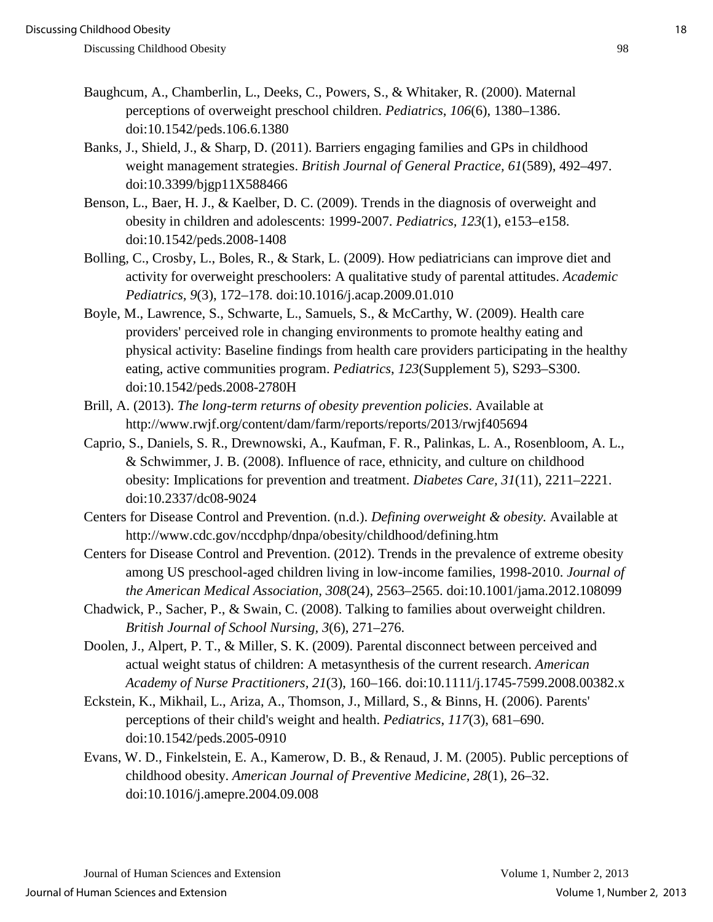- Baughcum, A., Chamberlin, L., Deeks, C., Powers, S., & Whitaker, R. (2000). Maternal perceptions of overweight preschool children. *Pediatrics*, *106*(6), 1380–1386. doi:10.1542/peds.106.6.1380
- Banks, J., Shield, J., & Sharp, D. (2011). Barriers engaging families and GPs in childhood weight management strategies. *British Journal of General Practice, 61*(589), 492–497. doi:10.3399/bjgp11X588466
- Benson, L., Baer, H. J., & Kaelber, D. C. (2009). Trends in the diagnosis of overweight and obesity in children and adolescents: 1999-2007. *Pediatrics, 123*(1), e153–e158. doi:10.1542/peds.2008-1408
- Bolling, C., Crosby, L., Boles, R., & Stark, L. (2009). How pediatricians can improve diet and activity for overweight preschoolers: A qualitative study of parental attitudes. *Academic Pediatrics, 9*(3), 172–178. doi:10.1016/j.acap.2009.01.010
- Boyle, M., Lawrence, S., Schwarte, L., Samuels, S., & McCarthy, W. (2009). Health care providers' perceived role in changing environments to promote healthy eating and physical activity: Baseline findings from health care providers participating in the healthy eating, active communities program. *Pediatrics*, *123*(Supplement 5), S293–S300. doi:10.1542/peds.2008-2780H
- Brill, A. (2013). *The long-term returns of obesity prevention policies*. Available at http://www.rwjf.org/content/dam/farm/reports/reports/2013/rwjf405694
- Caprio, S., Daniels, S. R., Drewnowski, A., Kaufman, F. R., Palinkas, L. A., Rosenbloom, A. L., & Schwimmer, J. B. (2008). Influence of race, ethnicity, and culture on childhood obesity: Implications for prevention and treatment. *Diabetes Care, 31*(11), 2211–2221. doi:10.2337/dc08-9024
- Centers for Disease Control and Prevention. (n.d.). *Defining overweight & obesity.* Available at http://www.cdc.gov/nccdphp/dnpa/obesity/childhood/defining.htm
- Centers for Disease Control and Prevention. (2012). Trends in the prevalence of extreme obesity among US preschool-aged children living in low-income families, 1998-2010. *Journal of the American Medical Association, 308*(24), 2563–2565. doi:10.1001/jama.2012.108099
- Chadwick, P., Sacher, P., & Swain, C. (2008). Talking to families about overweight children. *British Journal of School Nursing, 3*(6), 271–276.
- Doolen, J., Alpert, P. T., & Miller, S. K. (2009). Parental disconnect between perceived and actual weight status of children: A metasynthesis of the current research. *American Academy of Nurse Practitioners, 21*(3), 160–166. doi:10.1111/j.1745-7599.2008.00382.x
- Eckstein, K., Mikhail, L., Ariza, A., Thomson, J., Millard, S., & Binns, H. (2006). Parents' perceptions of their child's weight and health. *Pediatrics*, *117*(3), 681–690. doi:10.1542/peds.2005-0910
- Evans, W. D., Finkelstein, E. A., Kamerow, D. B., & Renaud, J. M. (2005). Public perceptions of childhood obesity. *American Journal of Preventive Medicine, 28*(1), 26–32. doi:10.1016/j.amepre.2004.09.008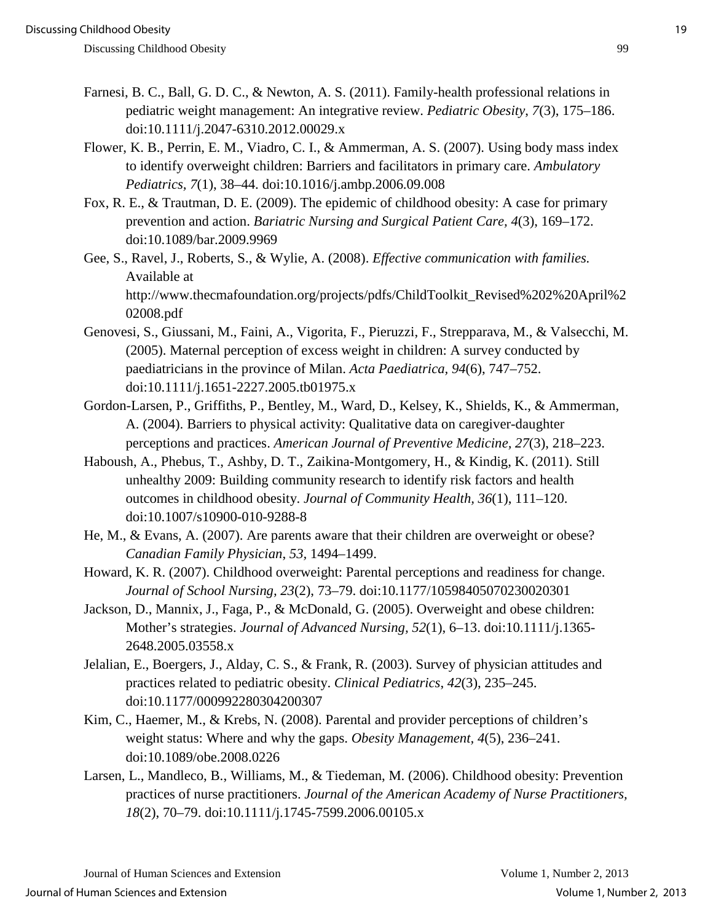- Farnesi, B. C., Ball, G. D. C., & Newton, A. S. (2011). Family-health professional relations in pediatric weight management: An integrative review. *Pediatric Obesity*, *7*(3), 175–186. doi:10.1111/j.2047-6310.2012.00029.x
- Flower, K. B., Perrin, E. M., Viadro, C. I., & Ammerman, A. S. (2007). Using body mass index to identify overweight children: Barriers and facilitators in primary care. *Ambulatory Pediatrics, 7*(1), 38–44. doi:10.1016/j.ambp.2006.09.008
- Fox, R. E., & Trautman, D. E. (2009). The epidemic of childhood obesity: A case for primary prevention and action. *Bariatric Nursing and Surgical Patient Care, 4*(3), 169–172. doi:10.1089/bar.2009.9969
- Gee, S., Ravel, J., Roberts, S., & Wylie, A. (2008). *Effective communication with families.*  Available at http://www.thecmafoundation.org/projects/pdfs/ChildToolkit\_Revised%202%20April%2 02008.pdf
- Genovesi, S., Giussani, M., Faini, A., Vigorita, F., Pieruzzi, F., Strepparava, M., & Valsecchi, M. (2005). Maternal perception of excess weight in children: A survey conducted by paediatricians in the province of Milan. *Acta Paediatrica, 94*(6), 747–752. doi:10.1111/j.1651-2227.2005.tb01975.x
- Gordon-Larsen, P., Griffiths, P., Bentley, M., Ward, D., Kelsey, K., Shields, K., & Ammerman, A. (2004). Barriers to physical activity: Qualitative data on caregiver-daughter perceptions and practices. *American Journal of Preventive Medicine, 27*(3), 218–223.
- Haboush, A., Phebus, T., Ashby, D. T., Zaikina-Montgomery, H., & Kindig, K. (2011). Still unhealthy 2009: Building community research to identify risk factors and health outcomes in childhood obesity. *Journal of Community Health, 36*(1), 111–120. doi:10.1007/s10900-010-9288-8
- He, M., & Evans, A. (2007). Are parents aware that their children are overweight or obese? *Canadian Family Physician*, *53,* 1494–1499.
- Howard, K. R. (2007). Childhood overweight: Parental perceptions and readiness for change. *Journal of School Nursing, 23*(2), 73–79. doi:10.1177/10598405070230020301
- Jackson, D., Mannix, J., Faga, P., & McDonald, G. (2005). Overweight and obese children: Mother's strategies. *Journal of Advanced Nursing, 52*(1), 6–13. doi:10.1111/j.1365- 2648.2005.03558.x
- Jelalian, E., Boergers, J., Alday, C. S., & Frank, R. (2003). Survey of physician attitudes and practices related to pediatric obesity. *Clinical Pediatrics*, *42*(3), 235–245. doi:10.1177/000992280304200307
- Kim, C., Haemer, M., & Krebs, N. (2008). Parental and provider perceptions of children's weight status: Where and why the gaps. *Obesity Management, 4*(5), 236–241. doi:10.1089/obe.2008.0226
- Larsen, L., Mandleco, B., Williams, M., & Tiedeman, M. (2006). Childhood obesity: Prevention practices of nurse practitioners. *Journal of the American Academy of Nurse Practitioners, 18*(2), 70–79. doi:10.1111/j.1745-7599.2006.00105.x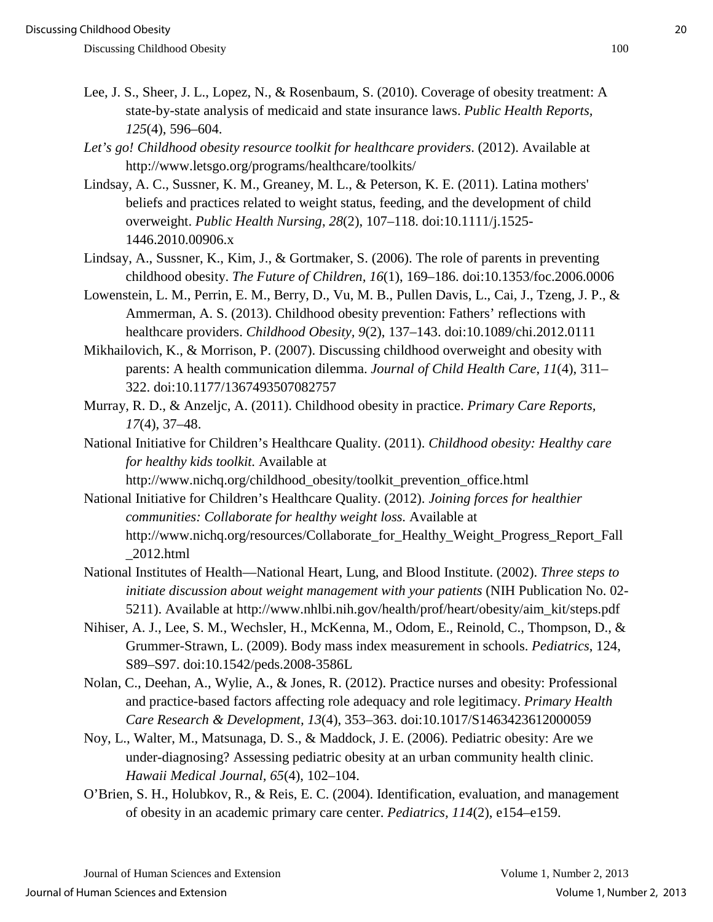- Lee, J. S., Sheer, J. L., Lopez, N., & Rosenbaum, S. (2010). Coverage of obesity treatment: A state-by-state analysis of medicaid and state insurance laws. *Public Health Reports, 125*(4), 596–604.
- *Let's go! Childhood obesity resource toolkit for healthcare providers*. (2012). Available at http://www.letsgo.org/programs/healthcare/toolkits/
- Lindsay, A. C., Sussner, K. M., Greaney, M. L., & Peterson, K. E. (2011). Latina mothers' beliefs and practices related to weight status, feeding, and the development of child overweight. *Public Health Nursing*, *28*(2), 107–118. doi:10.1111/j.1525- 1446.2010.00906.x
- Lindsay, A., Sussner, K., Kim, J., & Gortmaker, S. (2006). The role of parents in preventing childhood obesity. *The Future of Children, 16*(1), 169–186. doi:10.1353/foc.2006.0006
- Lowenstein, L. M., Perrin, E. M., Berry, D., Vu, M. B., Pullen Davis, L., Cai, J., Tzeng, J. P., & Ammerman, A. S. (2013). Childhood obesity prevention: Fathers' reflections with healthcare providers. *Childhood Obesity, 9*(2), 137–143. doi:10.1089/chi.2012.0111
- Mikhailovich, K., & Morrison, P. (2007). Discussing childhood overweight and obesity with parents: A health communication dilemma. *Journal of Child Health Care*, *11*(4), 311– 322. doi:10.1177/1367493507082757
- Murray, R. D., & Anzeljc, A. (2011). Childhood obesity in practice. *Primary Care Reports, 17*(4), 37–48.
- National Initiative for Children's Healthcare Quality. (2011). *Childhood obesity: Healthy care for healthy kids toolkit.* Available at
	- http://www.nichq.org/childhood\_obesity/toolkit\_prevention\_office.html
- National Initiative for Children's Healthcare Quality. (2012). *Joining forces for healthier communities: Collaborate for healthy weight loss.* Available at http://www.nichq.org/resources/Collaborate\_for\_Healthy\_Weight\_Progress\_Report\_Fall  $\_2012.html$
- National Institutes of Health—National Heart, Lung, and Blood Institute. (2002). *Three steps to initiate discussion about weight management with your patients* (NIH Publication No. 02- 5211). Available at http://www.nhlbi.nih.gov/health/prof/heart/obesity/aim\_kit/steps.pdf
- Nihiser, A. J., Lee, S. M., Wechsler, H., McKenna, M., Odom, E., Reinold, C., Thompson, D., & Grummer-Strawn, L. (2009). Body mass index measurement in schools. *Pediatrics*, 124, S89–S97. doi:10.1542/peds.2008-3586L
- Nolan, C., Deehan, A., Wylie, A., & Jones, R. (2012). Practice nurses and obesity: Professional and practice-based factors affecting role adequacy and role legitimacy. *Primary Health Care Research & Development, 13*(4), 353–363. doi:10.1017/S1463423612000059
- Noy, L., Walter, M., Matsunaga, D. S., & Maddock, J. E. (2006). Pediatric obesity: Are we under-diagnosing? Assessing pediatric obesity at an urban community health clinic. *Hawaii Medical Journal, 65*(4), 102–104.
- O'Brien, S. H., Holubkov, R., & Reis, E. C. (2004). Identification, evaluation, and management of obesity in an academic primary care center. *Pediatrics, 114*(2), e154–e159.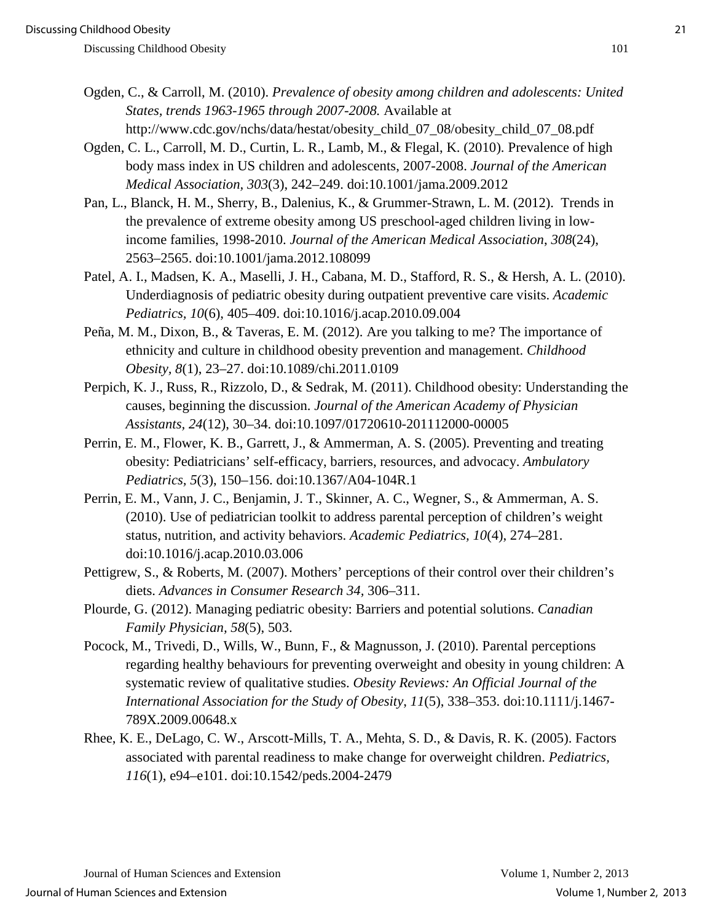- Ogden, C., & Carroll, M. (2010). *Prevalence of obesity among children and adolescents: United States, trends 1963-1965 through 2007-2008.* Available at http://www.cdc.gov/nchs/data/hestat/obesity\_child\_07\_08/obesity\_child\_07\_08.pdf
- Ogden, C. L., Carroll, M. D., Curtin, L. R., Lamb, M., & Flegal, K. (2010). Prevalence of high body mass index in US children and adolescents, 2007-2008. *Journal of the American Medical Association, 303*(3), 242–249. doi:10.1001/jama.2009.2012
- Pan, L., Blanck, H. M., Sherry, B., Dalenius, K., & Grummer-Strawn, L. M. (2012). [Trends in](http://web.ebscohost.com/ehost/viewarticle?data=dGJyMPPp44rp2%2fdV0%2bnjisfk5Ie45PFKsauyT66k63nn5Kx95uXxjL6nrkewqq1KrqexOK%2bouEivsLBOnsbLPvLo34bx1%2bGM5%2bXsgeKzsUi1qq5RsqeuPurX7H%2b72%2bw%2b4ti7hezepIzf3btZzJzfhruosUq0rrNIt5zkh%2fDj34y73POE6urjkPIA&hid=125)  [the prevalence of extreme obesity among US preschool-aged children](http://web.ebscohost.com/ehost/viewarticle?data=dGJyMPPp44rp2%2fdV0%2bnjisfk5Ie45PFKsauyT66k63nn5Kx95uXxjL6nrkewqq1KrqexOK%2bouEivsLBOnsbLPvLo34bx1%2bGM5%2bXsgeKzsUi1qq5RsqeuPurX7H%2b72%2bw%2b4ti7hezepIzf3btZzJzfhruosUq0rrNIt5zkh%2fDj34y73POE6urjkPIA&hid=125) living in low[income families, 1998-2010.](http://web.ebscohost.com/ehost/viewarticle?data=dGJyMPPp44rp2%2fdV0%2bnjisfk5Ie45PFKsauyT66k63nn5Kx95uXxjL6nrkewqq1KrqexOK%2bouEivsLBOnsbLPvLo34bx1%2bGM5%2bXsgeKzsUi1qq5RsqeuPurX7H%2b72%2bw%2b4ti7hezepIzf3btZzJzfhruosUq0rrNIt5zkh%2fDj34y73POE6urjkPIA&hid=125) *Journal of the American Medical Association*, *308*(24), 2563–2565. doi:10.1001/jama.2012.108099
- Patel, A. I., Madsen, K. A., Maselli, J. H., Cabana, M. D., Stafford, R. S., & Hersh, A. L. (2010). Underdiagnosis of pediatric obesity during outpatient preventive care visits. *Academic Pediatrics, 10*(6), 405–409. doi:10.1016/j.acap.2010.09.004
- Peña, M. M., Dixon, B., & Taveras, E. M. (2012). Are you talking to me? The importance of ethnicity and culture in childhood obesity prevention and management. *Childhood Obesity, 8*(1), 23–27. doi:10.1089/chi.2011.0109
- Perpich, K. J., Russ, R., Rizzolo, D., & Sedrak, M. (2011). Childhood obesity: Understanding the causes, beginning the discussion. *Journal of the American Academy of Physician Assistants, 24*(12), 30–34. doi:10.1097/01720610-201112000-00005
- Perrin, E. M., Flower, K. B., Garrett, J., & Ammerman, A. S. (2005). Preventing and treating obesity: Pediatricians' self-efficacy, barriers, resources, and advocacy. *Ambulatory Pediatrics, 5*(3), 150–156. doi:10.1367/A04-104R.1
- Perrin, E. M., Vann, J. C., Benjamin, J. T., Skinner, A. C., Wegner, S., & Ammerman, A. S. (2010). Use of pediatrician toolkit to address parental perception of children's weight status, nutrition, and activity behaviors. *Academic Pediatrics, 10*(4), 274–281. doi:10.1016/j.acap.2010.03.006
- Pettigrew, S., & Roberts, M. (2007). Mothers' perceptions of their control over their children's diets. *Advances in Consumer Research 34,* 306–311.
- Plourde, G. (2012). Managing pediatric obesity: Barriers and potential solutions. *Canadian Family Physician, 58*(5), 503.
- Pocock, M., Trivedi, D., Wills, W., Bunn, F., & Magnusson, J. (2010). Parental perceptions regarding healthy behaviours for preventing overweight and obesity in young children: A systematic review of qualitative studies. *Obesity Reviews: An Official Journal of the International Association for the Study of Obesity*, *11*(5), 338–353. doi:10.1111/j.1467- 789X.2009.00648.x
- Rhee, K. E., DeLago, C. W., Arscott-Mills, T. A., Mehta, S. D., & Davis, R. K. (2005). Factors associated with parental readiness to make change for overweight children. *Pediatrics, 116*(1), e94–e101. doi:10.1542/peds.2004-2479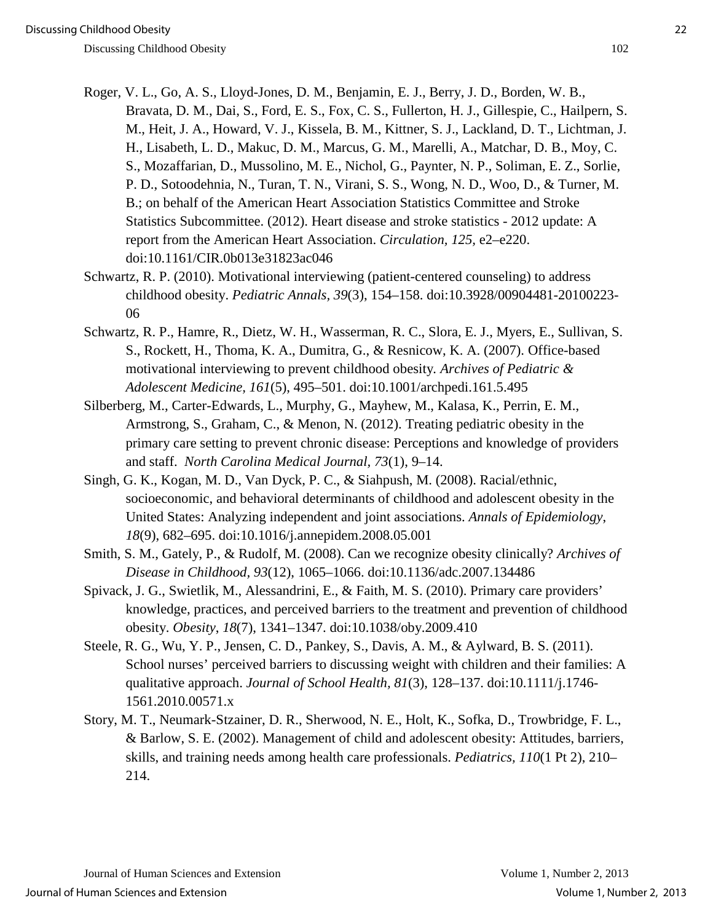- 
- Roger, V. L., Go, A. S., Lloyd-Jones, D. M., Benjamin, E. J., Berry, J. D., Borden, W. B., Bravata, D. M., Dai, S., Ford, E. S., Fox, C. S., Fullerton, H. J., Gillespie, C., Hailpern, S. M., Heit, J. A., Howard, V. J., Kissela, B. M., Kittner, S. J., Lackland, D. T., Lichtman, J. H., Lisabeth, L. D., Makuc, D. M., Marcus, G. M., Marelli, A., Matchar, D. B., Moy, C. S., Mozaffarian, D., Mussolino, M. E., Nichol, G., Paynter, N. P., Soliman, E. Z., Sorlie, P. D., Sotoodehnia, N., Turan, T. N., Virani, S. S., Wong, N. D., Woo, D., & Turner, M. B.; on behalf of the American Heart Association Statistics Committee and Stroke Statistics Subcommittee. (2012). Heart disease and stroke statistics - 2012 update: A report from the American Heart Association. *Circulation, 125,* e2–e220. doi:10.1161/CIR.0b013e31823ac046
- Schwartz, R. P. (2010). Motivational interviewing (patient-centered counseling) to address childhood obesity. *Pediatric Annals, 39*(3), 154–158. doi:10.3928/00904481-20100223- 06
- Schwartz, R. P., Hamre, R., Dietz, W. H., Wasserman, R. C., Slora, E. J., Myers, E., Sullivan, S. S., Rockett, H., Thoma, K. A., Dumitra, G., & Resnicow, K. A. (2007). Office-based motivational interviewing to prevent childhood obesity*. Archives of Pediatric & Adolescent Medicine, 161*(5), 495–501. doi:10.1001/archpedi.161.5.495
- Silberberg, M., Carter-Edwards, L., Murphy, G., Mayhew, M., Kalasa, K., Perrin, E. M., Armstrong, S., Graham, C., & Menon, N. (2012). Treating pediatric obesity in the primary care setting to prevent chronic disease: Perceptions and knowledge of providers and staff. *North Carolina Medical Journal, 73*(1), 9–14.
- Singh, G. K., Kogan, M. D., Van Dyck, P. C., & Siahpush, M. (2008). Racial/ethnic, socioeconomic, and behavioral determinants of childhood and adolescent obesity in the United States: Analyzing independent and joint associations. *Annals of Epidemiology*, *18*(9), 682–695. doi:10.1016/j.annepidem.2008.05.001
- Smith, S. M., Gately, P., & Rudolf, M. (2008). Can we recognize obesity clinically? *Archives of Disease in Childhood, 93*(12), 1065–1066. doi:10.1136/adc.2007.134486
- Spivack, J. G., Swietlik, M., Alessandrini, E., & Faith, M. S. (2010). Primary care providers' knowledge, practices, and perceived barriers to the treatment and prevention of childhood obesity. *Obesity*, *18*(7), 1341–1347. doi:10.1038/oby.2009.410
- Steele, R. G., Wu, Y. P., Jensen, C. D., Pankey, S., Davis, A. M., & Aylward, B. S. (2011). School nurses' perceived barriers to discussing weight with children and their families: A qualitative approach. *Journal of School Health, 81*(3), 128–137. doi:10.1111/j.1746- 1561.2010.00571.x
- Story, M. T., Neumark-Stzainer, D. R., Sherwood, N. E., Holt, K., Sofka, D., Trowbridge, F. L., & Barlow, S. E. (2002). Management of child and adolescent obesity: Attitudes, barriers, skills, and training needs among health care professionals. *Pediatrics, 110*(1 Pt 2), 210– 214.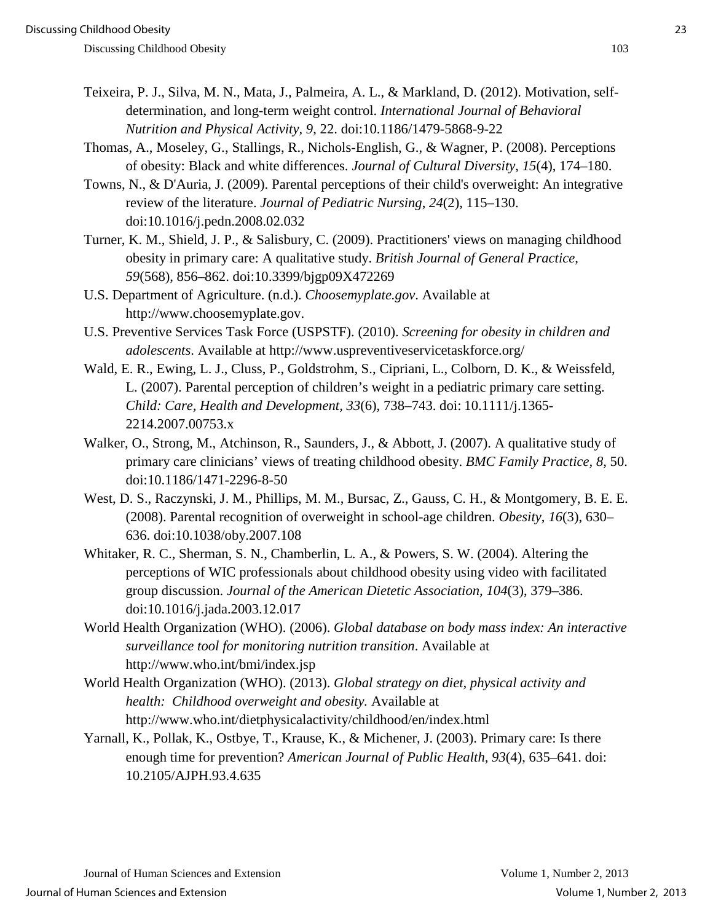- Teixeira, P. J., Silva, M. N., Mata, J., Palmeira, A. L., & Markland, D. (2012). Motivation, selfdetermination, and long-term weight control. *International Journal of Behavioral Nutrition and Physical Activity, 9*, 22. doi:10.1186/1479-5868-9-22
- Thomas, A., Moseley, G., Stallings, R., Nichols-English, G., & Wagner, P. (2008). Perceptions of obesity: Black and white differences. *Journal of Cultural Diversity*, *15*(4), 174–180.
- Towns, N., & D'Auria, J. (2009). Parental perceptions of their child's overweight: An integrative review of the literature. *Journal of Pediatric Nursing*, *24*(2), 115–130. doi:10.1016/j.pedn.2008.02.032
- Turner, K. M., Shield, J. P., & Salisbury, C. (2009). Practitioners' views on managing childhood obesity in primary care: A qualitative study. *British Journal of General Practice, 59*(568), 856–862. doi:10.3399/bjgp09X472269
- U.S. Department of Agriculture. (n.d.). *Choosemyplate.gov*. Available at http://www.choosemyplate.gov.
- U.S. Preventive Services Task Force (USPSTF). (2010). *Screening for obesity in children and adolescents*. Available at http://www.uspreventiveservicetaskforce.org/
- Wald, E. R., Ewing, L. J., Cluss, P., Goldstrohm, S., Cipriani, L., Colborn, D. K., & Weissfeld, L. (2007). Parental perception of children's weight in a pediatric primary care setting. *Child: Care, Health and Development, 33*(6), 738–743. doi: 10.1111/j.1365- 2214.2007.00753.x
- Walker, O., Strong, M., Atchinson, R., Saunders, J., & Abbott, J. (2007). A qualitative study of primary care clinicians' views of treating childhood obesity. *BMC Family Practice, 8*, 50. doi:10.1186/1471-2296-8-50
- West, D. S., Raczynski, J. M., Phillips, M. M., Bursac, Z., Gauss, C. H., & Montgomery, B. E. E. (2008). Parental recognition of overweight in school-age children. *Obesity*, *16*(3), 630– 636. doi:10.1038/oby.2007.108
- Whitaker, R. C., Sherman, S. N., Chamberlin, L. A., & Powers, S. W. (2004). Altering the perceptions of WIC professionals about childhood obesity using video with facilitated group discussion. *Journal of the American Dietetic Association, 104*(3), 379–386. doi:10.1016/j.jada.2003.12.017
- World Health Organization (WHO). (2006). *Global database on body mass index: An interactive surveillance tool for monitoring nutrition transition*. Available at http://www.who.int/bmi/index.jsp
- World Health Organization (WHO). (2013). *Global strategy on diet, physical activity and health: Childhood overweight and obesity.* Available at http://www.who.int/dietphysicalactivity/childhood/en/index.html
- Yarnall, K., Pollak, K., Ostbye, T., Krause, K., & Michener, J. (2003). Primary care: Is there enough time for prevention? *American Journal of Public Health, 93*(4), 635–641. doi: 10.2105/AJPH.93.4.635